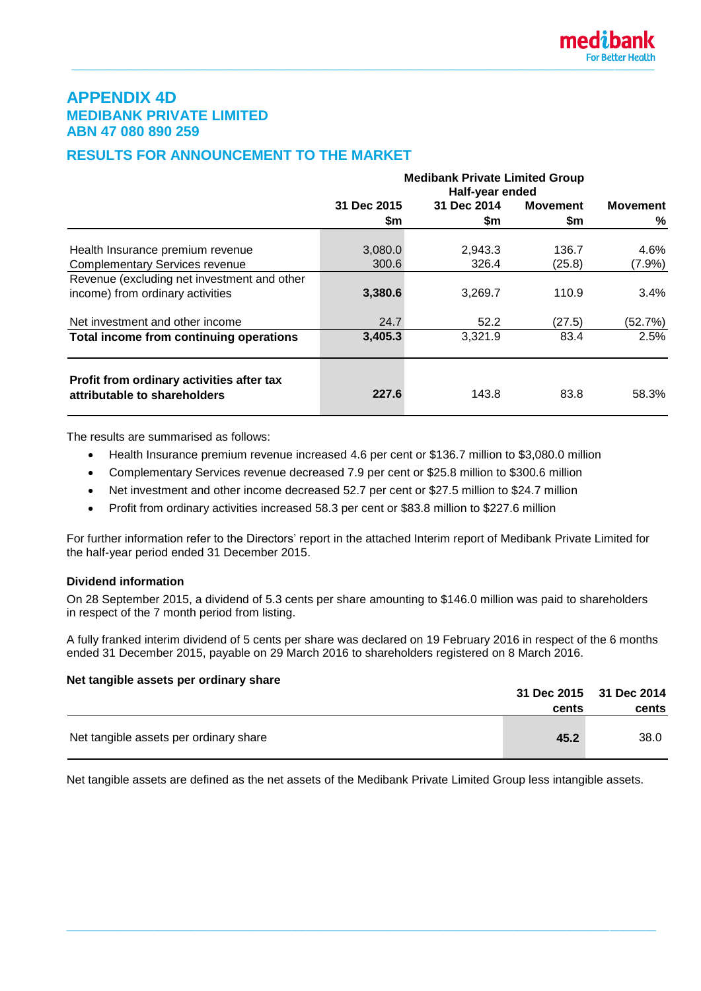# **APPENDIX 4D MEDIBANK PRIVATE LIMITED ABN 47 080 890 259**

# **RESULTS FOR ANNOUNCEMENT TO THE MARKET**

|                                                                           | <b>Medibank Private Limited Group</b><br>Half-year ended |             |                 |                 |  |
|---------------------------------------------------------------------------|----------------------------------------------------------|-------------|-----------------|-----------------|--|
|                                                                           | 31 Dec 2015                                              | 31 Dec 2014 | <b>Movement</b> | <b>Movement</b> |  |
|                                                                           | \$m                                                      | \$m         | \$m             | %               |  |
|                                                                           |                                                          |             |                 |                 |  |
| Health Insurance premium revenue                                          | 3,080.0                                                  | 2,943.3     | 136.7           | 4.6%            |  |
| <b>Complementary Services revenue</b>                                     | 300.6                                                    | 326.4       | (25.8)          | $(7.9\%)$       |  |
| Revenue (excluding net investment and other                               |                                                          |             |                 |                 |  |
| income) from ordinary activities                                          | 3,380.6                                                  | 3,269.7     | 110.9           | 3.4%            |  |
| Net investment and other income                                           | 24.7                                                     | 52.2        | (27.5)          | (52.7%)         |  |
| Total income from continuing operations                                   | 3,405.3                                                  | 3,321.9     | 83.4            | 2.5%            |  |
| Profit from ordinary activities after tax<br>attributable to shareholders | 227.6                                                    | 143.8       | 83.8            | 58.3%           |  |

The results are summarised as follows:

- Health Insurance premium revenue increased 4.6 per cent or \$136.7 million to \$3,080.0 million
- Complementary Services revenue decreased 7.9 per cent or \$25.8 million to \$300.6 million
- Net investment and other income decreased 52.7 per cent or \$27.5 million to \$24.7 million
- Profit from ordinary activities increased 58.3 per cent or \$83.8 million to \$227.6 million

For further information refer to the Directors' report in the attached Interim report of Medibank Private Limited for the half-year period ended 31 December 2015.

### **Dividend information**

On 28 September 2015, a dividend of 5.3 cents per share amounting to \$146.0 million was paid to shareholders in respect of the 7 month period from listing.

A fully franked interim dividend of 5 cents per share was declared on 19 February 2016 in respect of the 6 months ended 31 December 2015, payable on 29 March 2016 to shareholders registered on 8 March 2016.

### **Net tangible assets per ordinary share**

|                                        |       | 31 Dec 2015 31 Dec 2014 |
|----------------------------------------|-------|-------------------------|
|                                        | cents | cents                   |
| Net tangible assets per ordinary share | 45.2  | 38.0                    |

Net tangible assets are defined as the net assets of the Medibank Private Limited Group less intangible assets.

**\_\_\_\_\_\_\_\_\_\_\_\_\_\_\_\_\_\_\_\_\_\_\_\_\_\_\_\_\_\_\_\_\_\_\_\_\_\_\_\_\_\_\_\_\_\_\_\_\_\_\_\_\_\_\_\_\_\_\_\_\_\_\_\_\_\_\_\_\_\_\_\_\_\_\_\_\_\_\_\_\_\_\_\_\_\_\_\_\_\_**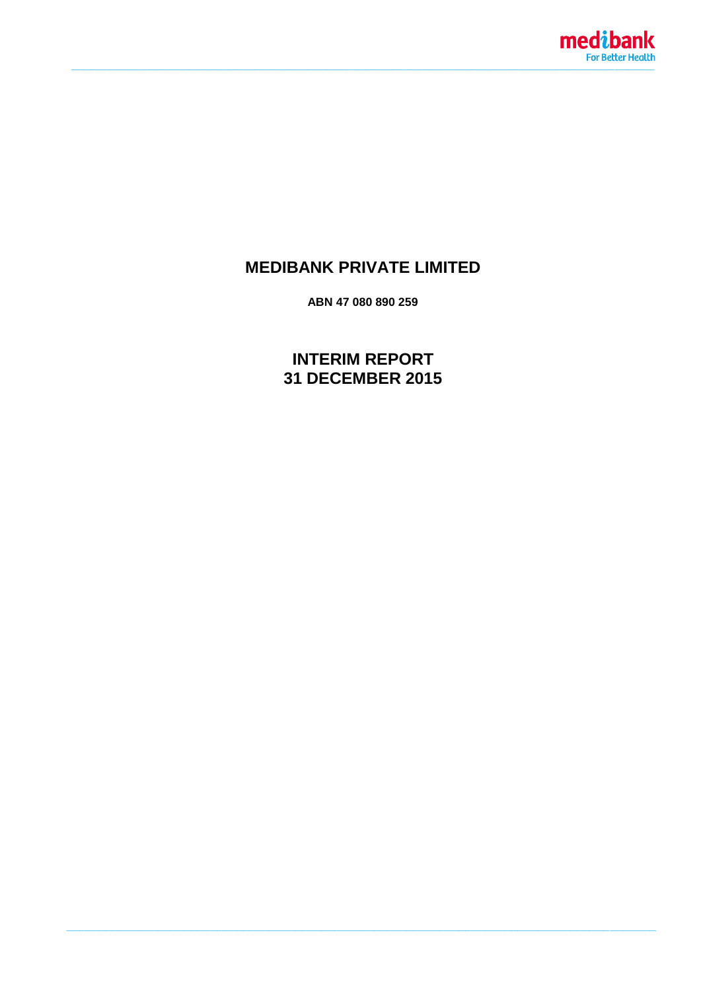

# **MEDIBANK PRIVATE LIMITED**

ABN 47 080 890 259

**INTERIM REPORT** 31 DECEMBER 2015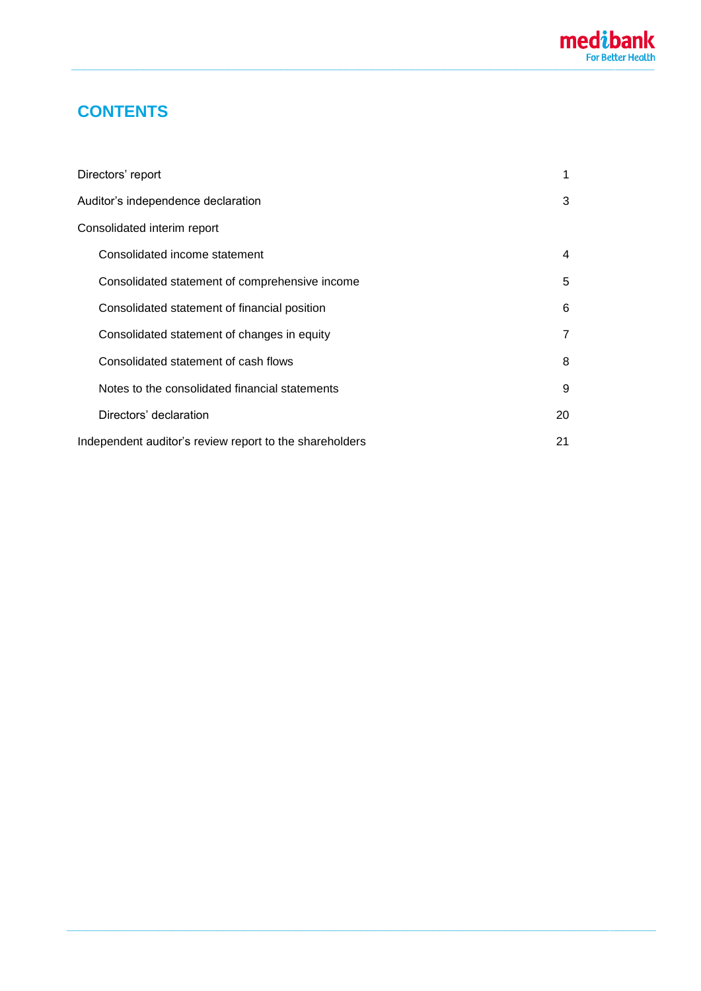# **CONTENTS**

| Directors' report                                       | 1  |
|---------------------------------------------------------|----|
| Auditor's independence declaration                      | 3  |
| Consolidated interim report                             |    |
| Consolidated income statement                           | 4  |
| Consolidated statement of comprehensive income          | 5  |
| Consolidated statement of financial position            | 6  |
| Consolidated statement of changes in equity             | 7  |
| Consolidated statement of cash flows                    | 8  |
| Notes to the consolidated financial statements          | 9  |
| Directors' declaration                                  | 20 |
| Independent auditor's review report to the shareholders | 21 |

**\_\_\_\_\_\_\_\_\_\_\_\_\_\_\_\_\_\_\_\_\_\_\_\_\_\_\_\_\_\_\_\_\_\_\_\_\_\_\_\_\_\_\_\_\_\_\_\_\_\_\_\_\_\_\_\_\_\_\_\_\_\_\_\_\_\_\_\_\_\_\_\_\_\_\_\_\_\_\_\_\_\_\_\_\_\_\_\_\_\_**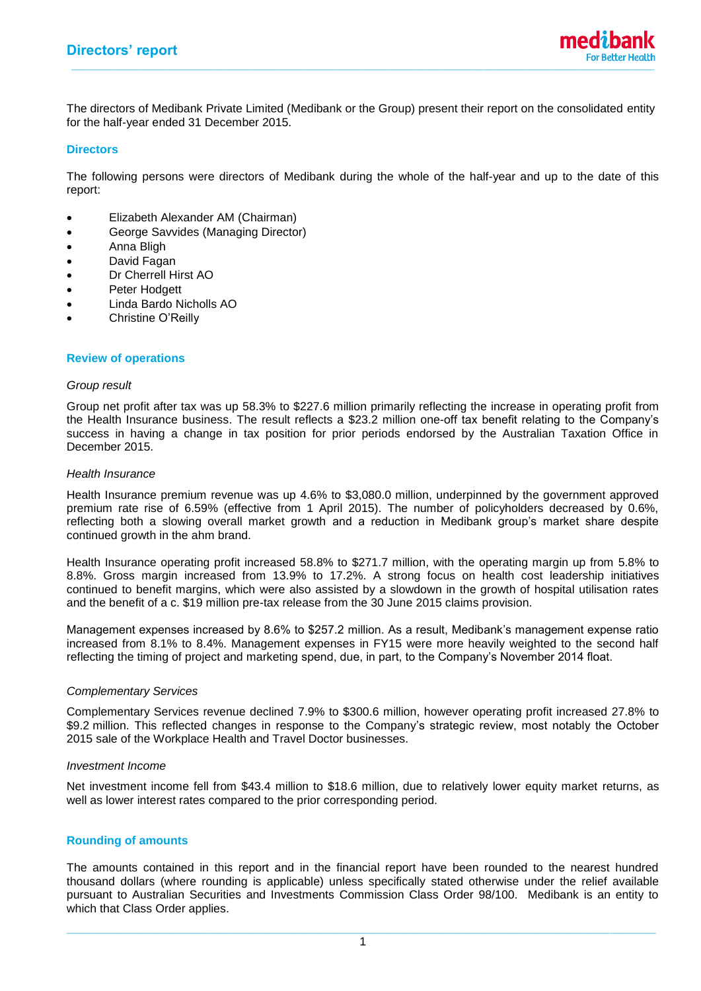The directors of Medibank Private Limited (Medibank or the Group) present their report on the consolidated entity for the half-year ended 31 December 2015.

#### **Directors**

The following persons were directors of Medibank during the whole of the half-year and up to the date of this report:

- Elizabeth Alexander AM (Chairman)
- George Savvides (Managing Director)
- Anna Bligh
- David Fagan
- Dr Cherrell Hirst AO
- Peter Hodgett
- Linda Bardo Nicholls AO
- Christine O'Reilly

### **Review of operations**

#### *Group result*

Group net profit after tax was up 58.3% to \$227.6 million primarily reflecting the increase in operating profit from the Health Insurance business. The result reflects a \$23.2 million one-off tax benefit relating to the Company's success in having a change in tax position for prior periods endorsed by the Australian Taxation Office in December 2015.

#### *Health Insurance*

Health Insurance premium revenue was up 4.6% to \$3,080.0 million, underpinned by the government approved premium rate rise of 6.59% (effective from 1 April 2015). The number of policyholders decreased by 0.6%, reflecting both a slowing overall market growth and a reduction in Medibank group's market share despite continued growth in the ahm brand.

Health Insurance operating profit increased 58.8% to \$271.7 million, with the operating margin up from 5.8% to 8.8%. Gross margin increased from 13.9% to 17.2%. A strong focus on health cost leadership initiatives continued to benefit margins, which were also assisted by a slowdown in the growth of hospital utilisation rates and the benefit of a c. \$19 million pre-tax release from the 30 June 2015 claims provision.

Management expenses increased by 8.6% to \$257.2 million. As a result, Medibank's management expense ratio increased from 8.1% to 8.4%. Management expenses in FY15 were more heavily weighted to the second half reflecting the timing of project and marketing spend, due, in part, to the Company's November 2014 float.

### *Complementary Services*

Complementary Services revenue declined 7.9% to \$300.6 million, however operating profit increased 27.8% to \$9.2 million. This reflected changes in response to the Company's strategic review, most notably the October 2015 sale of the Workplace Health and Travel Doctor businesses.

#### *Investment Income*

Net investment income fell from \$43.4 million to \$18.6 million, due to relatively lower equity market returns, as well as lower interest rates compared to the prior corresponding period.

### **Rounding of amounts**

The amounts contained in this report and in the financial report have been rounded to the nearest hundred thousand dollars (where rounding is applicable) unless specifically stated otherwise under the relief available pursuant to Australian Securities and Investments Commission Class Order 98/100. Medibank is an entity to which that Class Order applies.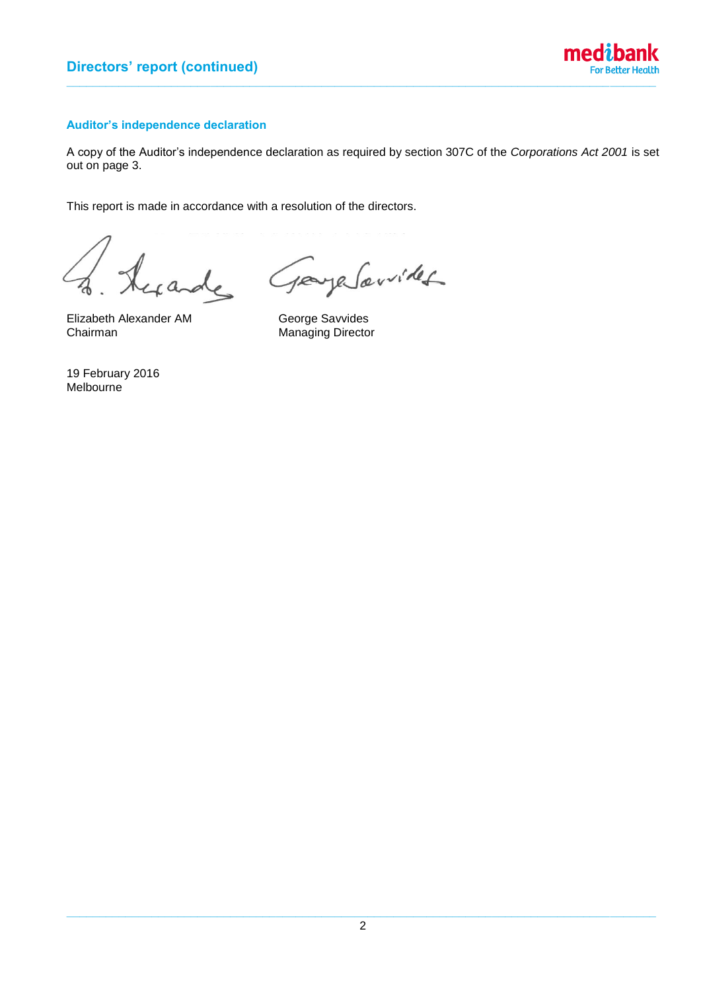

# **Auditor's independence declaration**

A copy of the Auditor's independence declaration as required by section 307C of the *Corporations Act 2001* is set out on page 3.

This report is made in accordance with a resolution of the directors.

de

referribles  $10<sup>o</sup>$ 

Elizabeth Alexander AM George Savvides<br>Chairman Chairman Manaqing Directo

Managing Director

19 February 2016 Melbourne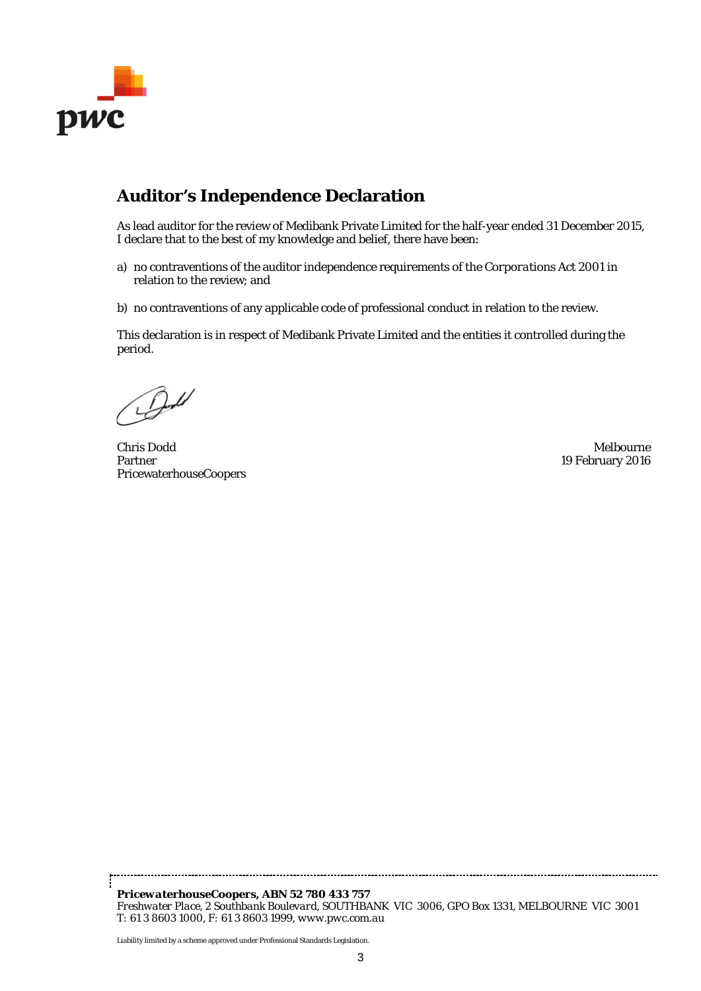

# **Auditor's Independence Declaration**

As lead auditor for the review of Medibank Private Limited for the half-year ended 31 December 2015, I declare that to the best of my knowledge and belief, there have been:

- a) no contraventions of the auditor independence requirements of the *Corporations Act 2001* in relation to the review; and
- b) no contraventions of any applicable code of professional conduct in relation to the review.

This declaration is in respect of Medibank Private Limited and the entities it controlled during the period.

Chris Dodd Melbourne Partner PricewaterhouseCoopers

19 February 2016

*PricewaterhouseCoopers, ABN 52 780 433 757 Freshwater Place, 2 Southbank Boulevard, SOUTHBANK VIC 3006, GPO Box 1331, MELBOURNE VIC 3001 T: 61 3 8603 1000, F: 61 3 8603 1999, www.pwc.com.au*

-------------------------------------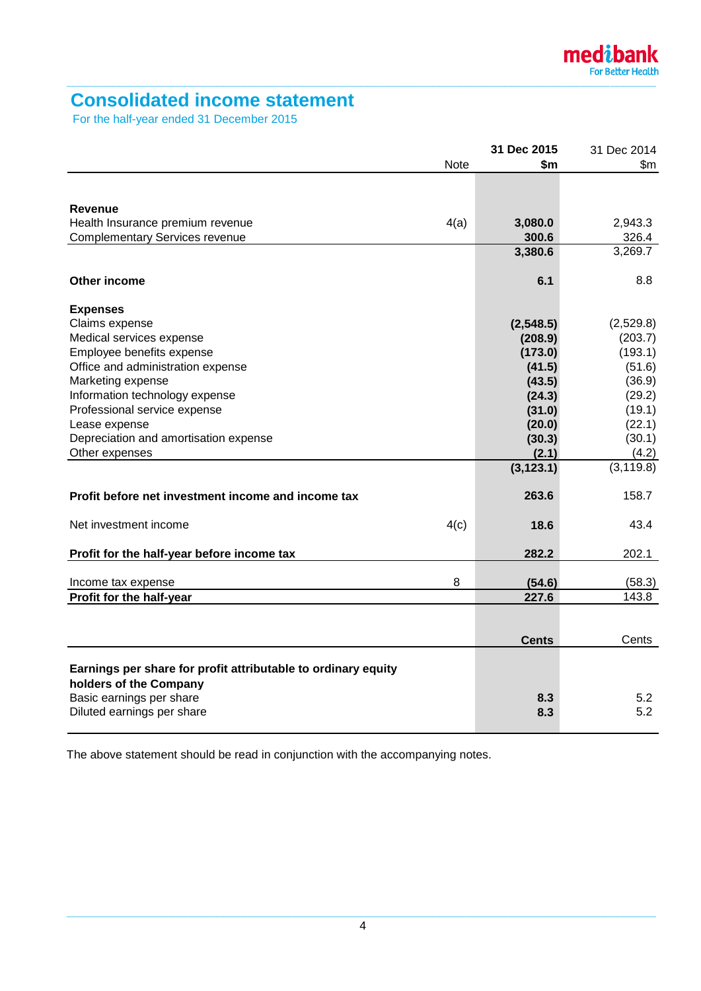# **Consolidated income statement**

For the half-year ended 31 December 2015

|                                                               |             | 31 Dec 2015  | 31 Dec 2014          |
|---------------------------------------------------------------|-------------|--------------|----------------------|
|                                                               | <b>Note</b> | \$m\$        | \$m                  |
|                                                               |             |              |                      |
|                                                               |             |              |                      |
| Revenue                                                       |             |              |                      |
| Health Insurance premium revenue                              | 4(a)        | 3,080.0      | 2,943.3              |
| <b>Complementary Services revenue</b>                         |             | 300.6        | 326.4                |
|                                                               |             | 3,380.6      | $\overline{3,}269.7$ |
|                                                               |             |              |                      |
| Other income                                                  |             | 6.1          | 8.8                  |
|                                                               |             |              |                      |
| <b>Expenses</b>                                               |             |              |                      |
| Claims expense                                                |             | (2,548.5)    | (2,529.8)            |
| Medical services expense                                      |             | (208.9)      | (203.7)              |
| Employee benefits expense                                     |             | (173.0)      | (193.1)              |
| Office and administration expense                             |             | (41.5)       | (51.6)               |
| Marketing expense                                             |             | (43.5)       | (36.9)               |
| Information technology expense                                |             | (24.3)       | (29.2)               |
| Professional service expense                                  |             | (31.0)       | (19.1)               |
| Lease expense                                                 |             | (20.0)       | (22.1)               |
| Depreciation and amortisation expense                         |             | (30.3)       | (30.1)               |
| Other expenses                                                |             | (2.1)        | (4.2)                |
|                                                               |             | (3, 123.1)   | (3, 119.8)           |
|                                                               |             |              |                      |
| Profit before net investment income and income tax            |             | 263.6        | 158.7                |
|                                                               |             |              |                      |
| Net investment income                                         | 4(c)        | 18.6         | 43.4                 |
|                                                               |             |              |                      |
| Profit for the half-year before income tax                    |             | 282.2        | 202.1                |
|                                                               |             |              |                      |
| Income tax expense                                            | 8           | (54.6)       | (58.3)               |
| Profit for the half-year                                      |             | 227.6        | 143.8                |
|                                                               |             |              |                      |
|                                                               |             |              |                      |
|                                                               |             | <b>Cents</b> | Cents                |
|                                                               |             |              |                      |
| Earnings per share for profit attributable to ordinary equity |             |              |                      |
| holders of the Company                                        |             |              |                      |
| Basic earnings per share                                      |             | 8.3          | 5.2                  |
| Diluted earnings per share                                    |             | 8.3          | 5.2                  |
|                                                               |             |              |                      |

The above statement should be read in conjunction with the accompanying notes.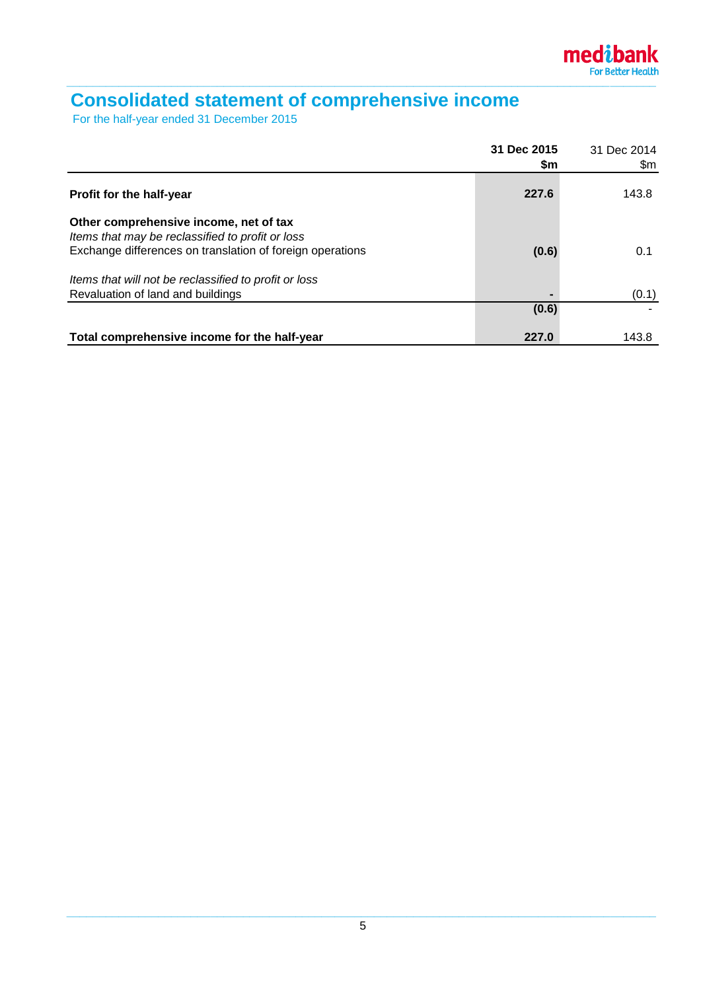

# **Consolidated statement of comprehensive income**

For the half-year ended 31 December 2015

|                                                                                                                                                         | 31 Dec 2015<br>\$m | 31 Dec 2014<br>\$m |
|---------------------------------------------------------------------------------------------------------------------------------------------------------|--------------------|--------------------|
| <b>Profit for the half-year</b>                                                                                                                         | 227.6              | 143.8              |
| Other comprehensive income, net of tax<br>Items that may be reclassified to profit or loss<br>Exchange differences on translation of foreign operations | (0.6)              | 0.1                |
| Items that will not be reclassified to profit or loss<br>Revaluation of land and buildings                                                              |                    | (0.1)              |
|                                                                                                                                                         | (0.6)              |                    |
| Total comprehensive income for the half-year                                                                                                            | 227.0              | 143.8              |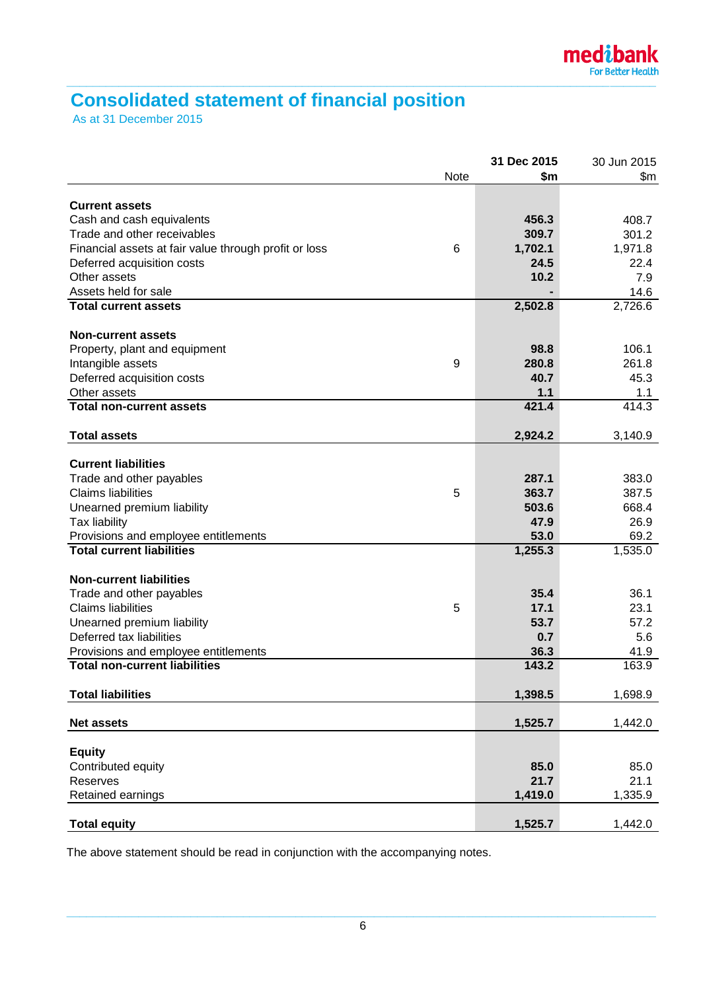# **Consolidated statement of financial position**

As at 31 December 2015

| \$m<br>Note<br>\$m<br><b>Current assets</b><br>Cash and cash equivalents<br>456.3<br>408.7<br>309.7<br>Trade and other receivables<br>301.2<br>Financial assets at fair value through profit or loss<br>6<br>1,702.1<br>1,971.8<br>24.5<br>Deferred acquisition costs<br>22.4<br>Other assets<br>10.2<br>7.9<br>Assets held for sale<br>14.6<br>2,502.8<br>2,726.6<br><b>Total current assets</b><br><b>Non-current assets</b><br>106.1<br>98.8<br>Property, plant and equipment<br>9<br>280.8<br>261.8<br>Intangible assets<br>45.3<br>Deferred acquisition costs<br>40.7<br>1.1<br>Other assets<br>1.1<br>421.4<br><b>Total non-current assets</b><br>414.3<br>2,924.2<br><b>Total assets</b><br>3,140.9<br><b>Current liabilities</b><br>Trade and other payables<br>287.1<br>383.0<br><b>Claims liabilities</b><br>363.7<br>387.5<br>5<br>503.6<br>668.4<br>Unearned premium liability<br>47.9<br>26.9<br>Tax liability<br>Provisions and employee entitlements<br>53.0<br>69.2<br><b>Total current liabilities</b><br>1,255.3<br>1,535.0<br><b>Non-current liabilities</b><br>36.1<br>35.4<br>Trade and other payables<br><b>Claims liabilities</b><br>23.1<br>5<br>17.1<br>57.2<br>Unearned premium liability<br>53.7<br>Deferred tax liabilities<br>5.6<br>0.7<br>Provisions and employee entitlements<br>36.3<br>41.9<br><b>Total non-current liabilities</b><br>163.9<br>143.2<br>1,398.5<br><b>Total liabilities</b><br>1,698.9<br>1,525.7<br>1,442.0<br><b>Net assets</b><br><b>Equity</b><br>Contributed equity<br>85.0<br>85.0<br>21.7<br>21.1<br>Reserves<br>Retained earnings<br>1,419.0<br>1,335.9 |                     | 31 Dec 2015 | 30 Jun 2015 |
|--------------------------------------------------------------------------------------------------------------------------------------------------------------------------------------------------------------------------------------------------------------------------------------------------------------------------------------------------------------------------------------------------------------------------------------------------------------------------------------------------------------------------------------------------------------------------------------------------------------------------------------------------------------------------------------------------------------------------------------------------------------------------------------------------------------------------------------------------------------------------------------------------------------------------------------------------------------------------------------------------------------------------------------------------------------------------------------------------------------------------------------------------------------------------------------------------------------------------------------------------------------------------------------------------------------------------------------------------------------------------------------------------------------------------------------------------------------------------------------------------------------------------------------------------------------------------------------------------------------------|---------------------|-------------|-------------|
|                                                                                                                                                                                                                                                                                                                                                                                                                                                                                                                                                                                                                                                                                                                                                                                                                                                                                                                                                                                                                                                                                                                                                                                                                                                                                                                                                                                                                                                                                                                                                                                                                    |                     |             |             |
|                                                                                                                                                                                                                                                                                                                                                                                                                                                                                                                                                                                                                                                                                                                                                                                                                                                                                                                                                                                                                                                                                                                                                                                                                                                                                                                                                                                                                                                                                                                                                                                                                    |                     |             |             |
|                                                                                                                                                                                                                                                                                                                                                                                                                                                                                                                                                                                                                                                                                                                                                                                                                                                                                                                                                                                                                                                                                                                                                                                                                                                                                                                                                                                                                                                                                                                                                                                                                    |                     |             |             |
|                                                                                                                                                                                                                                                                                                                                                                                                                                                                                                                                                                                                                                                                                                                                                                                                                                                                                                                                                                                                                                                                                                                                                                                                                                                                                                                                                                                                                                                                                                                                                                                                                    |                     |             |             |
|                                                                                                                                                                                                                                                                                                                                                                                                                                                                                                                                                                                                                                                                                                                                                                                                                                                                                                                                                                                                                                                                                                                                                                                                                                                                                                                                                                                                                                                                                                                                                                                                                    |                     |             |             |
|                                                                                                                                                                                                                                                                                                                                                                                                                                                                                                                                                                                                                                                                                                                                                                                                                                                                                                                                                                                                                                                                                                                                                                                                                                                                                                                                                                                                                                                                                                                                                                                                                    |                     |             |             |
|                                                                                                                                                                                                                                                                                                                                                                                                                                                                                                                                                                                                                                                                                                                                                                                                                                                                                                                                                                                                                                                                                                                                                                                                                                                                                                                                                                                                                                                                                                                                                                                                                    |                     |             |             |
|                                                                                                                                                                                                                                                                                                                                                                                                                                                                                                                                                                                                                                                                                                                                                                                                                                                                                                                                                                                                                                                                                                                                                                                                                                                                                                                                                                                                                                                                                                                                                                                                                    |                     |             |             |
|                                                                                                                                                                                                                                                                                                                                                                                                                                                                                                                                                                                                                                                                                                                                                                                                                                                                                                                                                                                                                                                                                                                                                                                                                                                                                                                                                                                                                                                                                                                                                                                                                    |                     |             |             |
|                                                                                                                                                                                                                                                                                                                                                                                                                                                                                                                                                                                                                                                                                                                                                                                                                                                                                                                                                                                                                                                                                                                                                                                                                                                                                                                                                                                                                                                                                                                                                                                                                    |                     |             |             |
|                                                                                                                                                                                                                                                                                                                                                                                                                                                                                                                                                                                                                                                                                                                                                                                                                                                                                                                                                                                                                                                                                                                                                                                                                                                                                                                                                                                                                                                                                                                                                                                                                    |                     |             |             |
|                                                                                                                                                                                                                                                                                                                                                                                                                                                                                                                                                                                                                                                                                                                                                                                                                                                                                                                                                                                                                                                                                                                                                                                                                                                                                                                                                                                                                                                                                                                                                                                                                    |                     |             |             |
|                                                                                                                                                                                                                                                                                                                                                                                                                                                                                                                                                                                                                                                                                                                                                                                                                                                                                                                                                                                                                                                                                                                                                                                                                                                                                                                                                                                                                                                                                                                                                                                                                    |                     |             |             |
|                                                                                                                                                                                                                                                                                                                                                                                                                                                                                                                                                                                                                                                                                                                                                                                                                                                                                                                                                                                                                                                                                                                                                                                                                                                                                                                                                                                                                                                                                                                                                                                                                    |                     |             |             |
|                                                                                                                                                                                                                                                                                                                                                                                                                                                                                                                                                                                                                                                                                                                                                                                                                                                                                                                                                                                                                                                                                                                                                                                                                                                                                                                                                                                                                                                                                                                                                                                                                    |                     |             |             |
|                                                                                                                                                                                                                                                                                                                                                                                                                                                                                                                                                                                                                                                                                                                                                                                                                                                                                                                                                                                                                                                                                                                                                                                                                                                                                                                                                                                                                                                                                                                                                                                                                    |                     |             |             |
|                                                                                                                                                                                                                                                                                                                                                                                                                                                                                                                                                                                                                                                                                                                                                                                                                                                                                                                                                                                                                                                                                                                                                                                                                                                                                                                                                                                                                                                                                                                                                                                                                    |                     |             |             |
|                                                                                                                                                                                                                                                                                                                                                                                                                                                                                                                                                                                                                                                                                                                                                                                                                                                                                                                                                                                                                                                                                                                                                                                                                                                                                                                                                                                                                                                                                                                                                                                                                    |                     |             |             |
|                                                                                                                                                                                                                                                                                                                                                                                                                                                                                                                                                                                                                                                                                                                                                                                                                                                                                                                                                                                                                                                                                                                                                                                                                                                                                                                                                                                                                                                                                                                                                                                                                    |                     |             |             |
|                                                                                                                                                                                                                                                                                                                                                                                                                                                                                                                                                                                                                                                                                                                                                                                                                                                                                                                                                                                                                                                                                                                                                                                                                                                                                                                                                                                                                                                                                                                                                                                                                    |                     |             |             |
|                                                                                                                                                                                                                                                                                                                                                                                                                                                                                                                                                                                                                                                                                                                                                                                                                                                                                                                                                                                                                                                                                                                                                                                                                                                                                                                                                                                                                                                                                                                                                                                                                    |                     |             |             |
|                                                                                                                                                                                                                                                                                                                                                                                                                                                                                                                                                                                                                                                                                                                                                                                                                                                                                                                                                                                                                                                                                                                                                                                                                                                                                                                                                                                                                                                                                                                                                                                                                    |                     |             |             |
|                                                                                                                                                                                                                                                                                                                                                                                                                                                                                                                                                                                                                                                                                                                                                                                                                                                                                                                                                                                                                                                                                                                                                                                                                                                                                                                                                                                                                                                                                                                                                                                                                    |                     |             |             |
|                                                                                                                                                                                                                                                                                                                                                                                                                                                                                                                                                                                                                                                                                                                                                                                                                                                                                                                                                                                                                                                                                                                                                                                                                                                                                                                                                                                                                                                                                                                                                                                                                    |                     |             |             |
|                                                                                                                                                                                                                                                                                                                                                                                                                                                                                                                                                                                                                                                                                                                                                                                                                                                                                                                                                                                                                                                                                                                                                                                                                                                                                                                                                                                                                                                                                                                                                                                                                    |                     |             |             |
|                                                                                                                                                                                                                                                                                                                                                                                                                                                                                                                                                                                                                                                                                                                                                                                                                                                                                                                                                                                                                                                                                                                                                                                                                                                                                                                                                                                                                                                                                                                                                                                                                    |                     |             |             |
|                                                                                                                                                                                                                                                                                                                                                                                                                                                                                                                                                                                                                                                                                                                                                                                                                                                                                                                                                                                                                                                                                                                                                                                                                                                                                                                                                                                                                                                                                                                                                                                                                    |                     |             |             |
|                                                                                                                                                                                                                                                                                                                                                                                                                                                                                                                                                                                                                                                                                                                                                                                                                                                                                                                                                                                                                                                                                                                                                                                                                                                                                                                                                                                                                                                                                                                                                                                                                    |                     |             |             |
|                                                                                                                                                                                                                                                                                                                                                                                                                                                                                                                                                                                                                                                                                                                                                                                                                                                                                                                                                                                                                                                                                                                                                                                                                                                                                                                                                                                                                                                                                                                                                                                                                    |                     |             |             |
|                                                                                                                                                                                                                                                                                                                                                                                                                                                                                                                                                                                                                                                                                                                                                                                                                                                                                                                                                                                                                                                                                                                                                                                                                                                                                                                                                                                                                                                                                                                                                                                                                    |                     |             |             |
|                                                                                                                                                                                                                                                                                                                                                                                                                                                                                                                                                                                                                                                                                                                                                                                                                                                                                                                                                                                                                                                                                                                                                                                                                                                                                                                                                                                                                                                                                                                                                                                                                    |                     |             |             |
|                                                                                                                                                                                                                                                                                                                                                                                                                                                                                                                                                                                                                                                                                                                                                                                                                                                                                                                                                                                                                                                                                                                                                                                                                                                                                                                                                                                                                                                                                                                                                                                                                    |                     |             |             |
|                                                                                                                                                                                                                                                                                                                                                                                                                                                                                                                                                                                                                                                                                                                                                                                                                                                                                                                                                                                                                                                                                                                                                                                                                                                                                                                                                                                                                                                                                                                                                                                                                    |                     |             |             |
|                                                                                                                                                                                                                                                                                                                                                                                                                                                                                                                                                                                                                                                                                                                                                                                                                                                                                                                                                                                                                                                                                                                                                                                                                                                                                                                                                                                                                                                                                                                                                                                                                    |                     |             |             |
|                                                                                                                                                                                                                                                                                                                                                                                                                                                                                                                                                                                                                                                                                                                                                                                                                                                                                                                                                                                                                                                                                                                                                                                                                                                                                                                                                                                                                                                                                                                                                                                                                    |                     |             |             |
|                                                                                                                                                                                                                                                                                                                                                                                                                                                                                                                                                                                                                                                                                                                                                                                                                                                                                                                                                                                                                                                                                                                                                                                                                                                                                                                                                                                                                                                                                                                                                                                                                    |                     |             |             |
|                                                                                                                                                                                                                                                                                                                                                                                                                                                                                                                                                                                                                                                                                                                                                                                                                                                                                                                                                                                                                                                                                                                                                                                                                                                                                                                                                                                                                                                                                                                                                                                                                    |                     |             |             |
|                                                                                                                                                                                                                                                                                                                                                                                                                                                                                                                                                                                                                                                                                                                                                                                                                                                                                                                                                                                                                                                                                                                                                                                                                                                                                                                                                                                                                                                                                                                                                                                                                    |                     |             |             |
|                                                                                                                                                                                                                                                                                                                                                                                                                                                                                                                                                                                                                                                                                                                                                                                                                                                                                                                                                                                                                                                                                                                                                                                                                                                                                                                                                                                                                                                                                                                                                                                                                    |                     |             |             |
|                                                                                                                                                                                                                                                                                                                                                                                                                                                                                                                                                                                                                                                                                                                                                                                                                                                                                                                                                                                                                                                                                                                                                                                                                                                                                                                                                                                                                                                                                                                                                                                                                    |                     |             |             |
|                                                                                                                                                                                                                                                                                                                                                                                                                                                                                                                                                                                                                                                                                                                                                                                                                                                                                                                                                                                                                                                                                                                                                                                                                                                                                                                                                                                                                                                                                                                                                                                                                    | <b>Total equity</b> | 1,525.7     | 1,442.0     |

The above statement should be read in conjunction with the accompanying notes.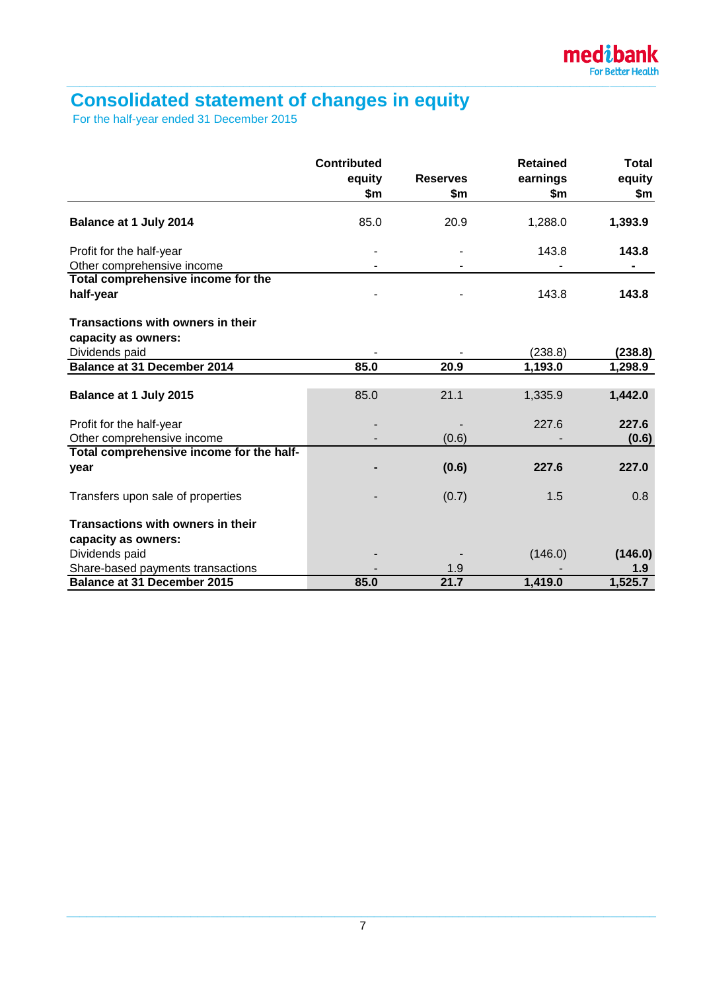# **Consolidated statement of changes in equity**

For the half-year ended 31 December 2015

|                                          | <b>Contributed</b><br>equity<br>\$m | <b>Reserves</b><br>\$m | <b>Retained</b><br>earnings<br>\$m | <b>Total</b><br>equity<br>\$m |
|------------------------------------------|-------------------------------------|------------------------|------------------------------------|-------------------------------|
|                                          |                                     |                        |                                    |                               |
| Balance at 1 July 2014                   | 85.0                                | 20.9                   | 1,288.0                            | 1,393.9                       |
| Profit for the half-year                 |                                     |                        | 143.8                              | 143.8                         |
| Other comprehensive income               |                                     |                        |                                    |                               |
| Total comprehensive income for the       |                                     |                        |                                    |                               |
| half-year                                |                                     |                        | 143.8                              | 143.8                         |
| Transactions with owners in their        |                                     |                        |                                    |                               |
| capacity as owners:                      |                                     |                        |                                    |                               |
| Dividends paid                           |                                     |                        | (238.8)                            | (238.8)                       |
| <b>Balance at 31 December 2014</b>       | 85.0                                | 20.9                   | 1,193.0                            | 1,298.9                       |
|                                          |                                     |                        |                                    |                               |
| Balance at 1 July 2015                   | 85.0                                | 21.1                   | 1,335.9                            | 1,442.0                       |
| Profit for the half-year                 |                                     |                        | 227.6                              | 227.6                         |
| Other comprehensive income               |                                     | (0.6)                  |                                    | (0.6)                         |
| Total comprehensive income for the half- |                                     |                        |                                    |                               |
| year                                     |                                     | (0.6)                  | 227.6                              | 227.0                         |
| Transfers upon sale of properties        |                                     | (0.7)                  | 1.5                                | 0.8                           |
| Transactions with owners in their        |                                     |                        |                                    |                               |
| capacity as owners:                      |                                     |                        |                                    |                               |
| Dividends paid                           |                                     |                        | (146.0)                            | (146.0)                       |
| Share-based payments transactions        |                                     | 1.9                    |                                    | 1.9                           |
| <b>Balance at 31 December 2015</b>       | 85.0                                | 21.7                   | 1,419.0                            | 1,525.7                       |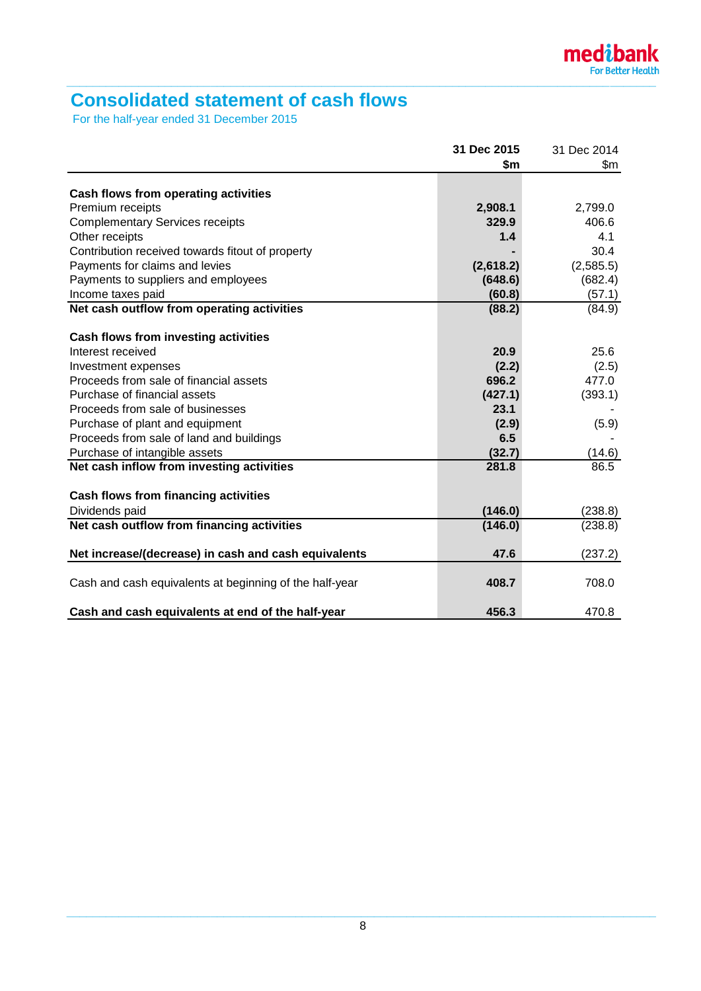

# **Consolidated statement of cash flows**

For the half-year ended 31 December 2015

|                                                         | 31 Dec 2015 | 31 Dec 2014 |
|---------------------------------------------------------|-------------|-------------|
|                                                         | \$m         | \$m         |
|                                                         |             |             |
| Cash flows from operating activities                    |             |             |
| Premium receipts                                        | 2,908.1     | 2,799.0     |
| <b>Complementary Services receipts</b>                  | 329.9       | 406.6       |
| Other receipts                                          | 1.4         | 4.1         |
| Contribution received towards fitout of property        |             | 30.4        |
| Payments for claims and levies                          | (2,618.2)   | (2,585.5)   |
| Payments to suppliers and employees                     | (648.6)     | (682.4)     |
| Income taxes paid                                       | (60.8)      | (57.1)      |
| Net cash outflow from operating activities              | (88.2)      | (84.9)      |
|                                                         |             |             |
| Cash flows from investing activities                    |             |             |
| Interest received                                       | 20.9        | 25.6        |
| Investment expenses                                     | (2.2)       | (2.5)       |
| Proceeds from sale of financial assets                  | 696.2       | 477.0       |
| Purchase of financial assets                            | (427.1)     | (393.1)     |
| Proceeds from sale of businesses                        | 23.1        |             |
| Purchase of plant and equipment                         | (2.9)       | (5.9)       |
| Proceeds from sale of land and buildings                | 6.5         |             |
| Purchase of intangible assets                           | (32.7)      | (14.6)      |
| Net cash inflow from investing activities               | 281.8       | 86.5        |
|                                                         |             |             |
| <b>Cash flows from financing activities</b>             |             |             |
| Dividends paid                                          | (146.0)     | (238.8)     |
| Net cash outflow from financing activities              | (146.0)     | (238.8)     |
| Net increase/(decrease) in cash and cash equivalents    | 47.6        | (237.2)     |
|                                                         |             |             |
| Cash and cash equivalents at beginning of the half-year | 408.7       | 708.0       |
|                                                         |             |             |
| Cash and cash equivalents at end of the half-year       | 456.3       | 470.8       |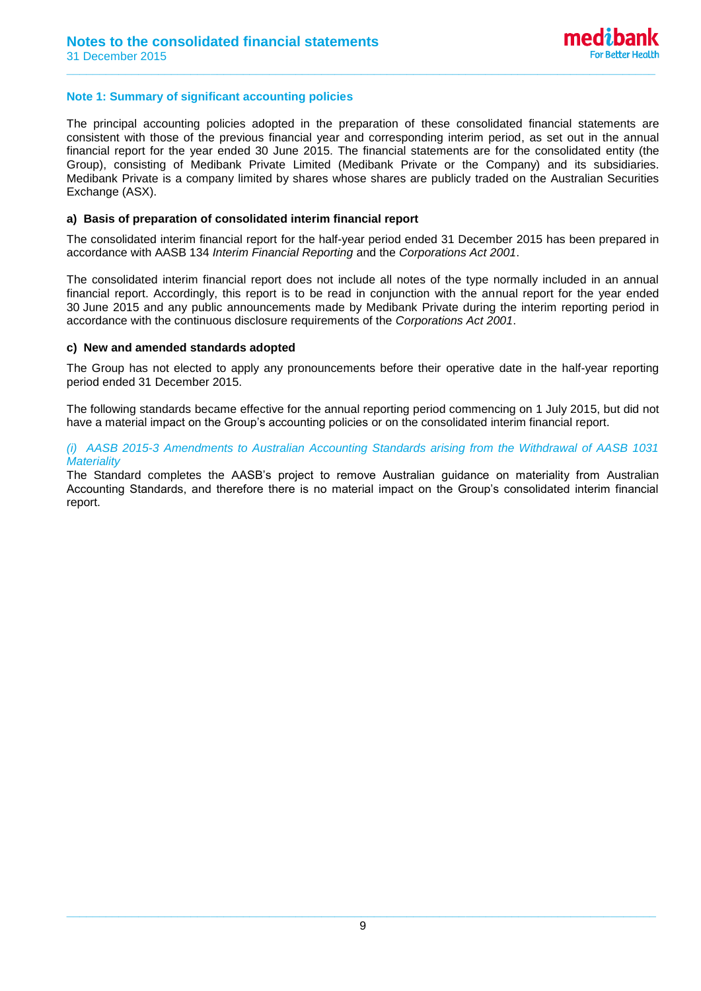# **Note 1: Summary of significant accounting policies**

The principal accounting policies adopted in the preparation of these consolidated financial statements are consistent with those of the previous financial year and corresponding interim period, as set out in the annual financial report for the year ended 30 June 2015. The financial statements are for the consolidated entity (the Group), consisting of Medibank Private Limited (Medibank Private or the Company) and its subsidiaries. Medibank Private is a company limited by shares whose shares are publicly traded on the Australian Securities Exchange (ASX).

**\_\_\_\_\_\_\_\_\_\_\_\_\_\_\_\_\_\_\_\_\_\_\_\_\_\_\_\_\_\_\_\_\_\_\_\_\_\_\_\_\_\_\_\_\_\_\_\_\_\_\_\_\_\_\_\_\_\_\_\_\_\_\_\_\_\_\_\_\_\_\_\_\_\_\_\_\_\_\_\_\_\_\_\_\_\_\_\_\_\_**

### **a) Basis of preparation of consolidated interim financial report**

The consolidated interim financial report for the half-year period ended 31 December 2015 has been prepared in accordance with AASB 134 *Interim Financial Reporting* and the *Corporations Act 2001*.

The consolidated interim financial report does not include all notes of the type normally included in an annual financial report. Accordingly, this report is to be read in conjunction with the annual report for the year ended 30 June 2015 and any public announcements made by Medibank Private during the interim reporting period in accordance with the continuous disclosure requirements of the *Corporations Act 2001*.

### **c) New and amended standards adopted**

The Group has not elected to apply any pronouncements before their operative date in the half-year reporting period ended 31 December 2015.

The following standards became effective for the annual reporting period commencing on 1 July 2015, but did not have a material impact on the Group's accounting policies or on the consolidated interim financial report.

### *(i) AASB 2015-3 Amendments to Australian Accounting Standards arising from the Withdrawal of AASB 1031 Materiality*

The Standard completes the AASB's project to remove Australian guidance on materiality from Australian Accounting Standards, and therefore there is no material impact on the Group's consolidated interim financial report.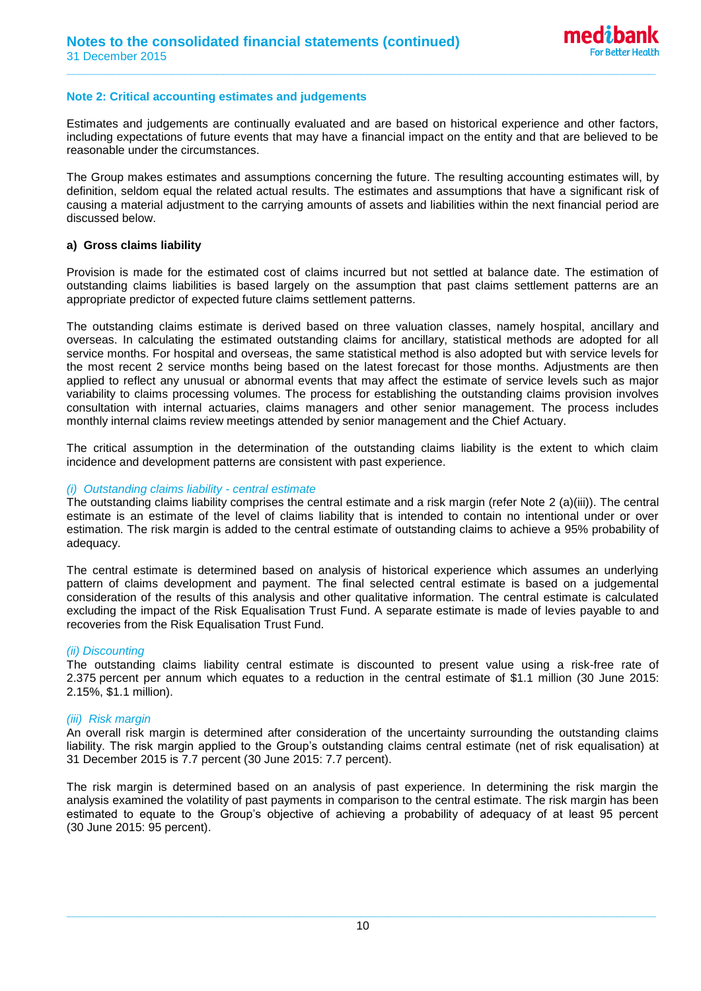### **Note 2: Critical accounting estimates and judgements**

Estimates and judgements are continually evaluated and are based on historical experience and other factors, including expectations of future events that may have a financial impact on the entity and that are believed to be reasonable under the circumstances.

**\_\_\_\_\_\_\_\_\_\_\_\_\_\_\_\_\_\_\_\_\_\_\_\_\_\_\_\_\_\_\_\_\_\_\_\_\_\_\_\_\_\_\_\_\_\_\_\_\_\_\_\_\_\_\_\_\_\_\_\_\_\_\_\_\_\_\_\_\_\_\_\_\_\_\_\_\_\_\_\_\_\_\_\_\_\_\_\_\_\_**

The Group makes estimates and assumptions concerning the future. The resulting accounting estimates will, by definition, seldom equal the related actual results. The estimates and assumptions that have a significant risk of causing a material adjustment to the carrying amounts of assets and liabilities within the next financial period are discussed below.

### **a) Gross claims liability**

Provision is made for the estimated cost of claims incurred but not settled at balance date. The estimation of outstanding claims liabilities is based largely on the assumption that past claims settlement patterns are an appropriate predictor of expected future claims settlement patterns.

The outstanding claims estimate is derived based on three valuation classes, namely hospital, ancillary and overseas. In calculating the estimated outstanding claims for ancillary, statistical methods are adopted for all service months. For hospital and overseas, the same statistical method is also adopted but with service levels for the most recent 2 service months being based on the latest forecast for those months. Adjustments are then applied to reflect any unusual or abnormal events that may affect the estimate of service levels such as major variability to claims processing volumes. The process for establishing the outstanding claims provision involves consultation with internal actuaries, claims managers and other senior management. The process includes monthly internal claims review meetings attended by senior management and the Chief Actuary.

The critical assumption in the determination of the outstanding claims liability is the extent to which claim incidence and development patterns are consistent with past experience.

### *(i) Outstanding claims liability - central estimate*

The outstanding claims liability comprises the central estimate and a risk margin (refer Note 2 (a)(iii)). The central estimate is an estimate of the level of claims liability that is intended to contain no intentional under or over estimation. The risk margin is added to the central estimate of outstanding claims to achieve a 95% probability of adequacy.

The central estimate is determined based on analysis of historical experience which assumes an underlying pattern of claims development and payment. The final selected central estimate is based on a judgemental consideration of the results of this analysis and other qualitative information. The central estimate is calculated excluding the impact of the Risk Equalisation Trust Fund. A separate estimate is made of levies payable to and recoveries from the Risk Equalisation Trust Fund.

### *(ii) Discounting*

The outstanding claims liability central estimate is discounted to present value using a risk-free rate of 2.375 percent per annum which equates to a reduction in the central estimate of \$1.1 million (30 June 2015: 2.15%, \$1.1 million).

### *(iii) Risk margin*

An overall risk margin is determined after consideration of the uncertainty surrounding the outstanding claims liability. The risk margin applied to the Group's outstanding claims central estimate (net of risk equalisation) at 31 December 2015 is 7.7 percent (30 June 2015: 7.7 percent).

The risk margin is determined based on an analysis of past experience. In determining the risk margin the analysis examined the volatility of past payments in comparison to the central estimate. The risk margin has been estimated to equate to the Group's objective of achieving a probability of adequacy of at least 95 percent (30 June 2015: 95 percent).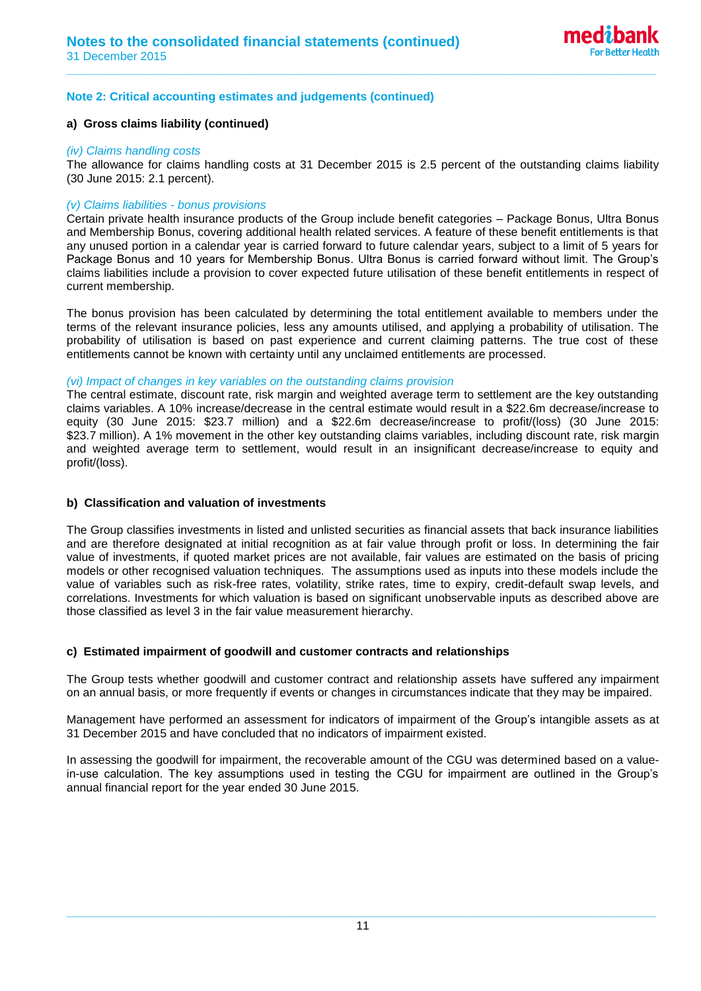# **Note 2: Critical accounting estimates and judgements (continued)**

### **a) Gross claims liability (continued)**

#### *(iv) Claims handling costs*

The allowance for claims handling costs at 31 December 2015 is 2.5 percent of the outstanding claims liability (30 June 2015: 2.1 percent).

**\_\_\_\_\_\_\_\_\_\_\_\_\_\_\_\_\_\_\_\_\_\_\_\_\_\_\_\_\_\_\_\_\_\_\_\_\_\_\_\_\_\_\_\_\_\_\_\_\_\_\_\_\_\_\_\_\_\_\_\_\_\_\_\_\_\_\_\_\_\_\_\_\_\_\_\_\_\_\_\_\_\_\_\_\_\_\_\_\_\_**

# *(v) Claims liabilities - bonus provisions*

Certain private health insurance products of the Group include benefit categories – Package Bonus, Ultra Bonus and Membership Bonus, covering additional health related services. A feature of these benefit entitlements is that any unused portion in a calendar year is carried forward to future calendar years, subject to a limit of 5 years for Package Bonus and 10 years for Membership Bonus. Ultra Bonus is carried forward without limit. The Group's claims liabilities include a provision to cover expected future utilisation of these benefit entitlements in respect of current membership.

The bonus provision has been calculated by determining the total entitlement available to members under the terms of the relevant insurance policies, less any amounts utilised, and applying a probability of utilisation. The probability of utilisation is based on past experience and current claiming patterns. The true cost of these entitlements cannot be known with certainty until any unclaimed entitlements are processed.

### *(vi) Impact of changes in key variables on the outstanding claims provision*

The central estimate, discount rate, risk margin and weighted average term to settlement are the key outstanding claims variables. A 10% increase/decrease in the central estimate would result in a \$22.6m decrease/increase to equity (30 June 2015: \$23.7 million) and a \$22.6m decrease/increase to profit/(loss) (30 June 2015: \$23.7 million). A 1% movement in the other key outstanding claims variables, including discount rate, risk margin and weighted average term to settlement, would result in an insignificant decrease/increase to equity and profit/(loss).

### **b) Classification and valuation of investments**

The Group classifies investments in listed and unlisted securities as financial assets that back insurance liabilities and are therefore designated at initial recognition as at fair value through profit or loss. In determining the fair value of investments, if quoted market prices are not available, fair values are estimated on the basis of pricing models or other recognised valuation techniques. The assumptions used as inputs into these models include the value of variables such as risk-free rates, volatility, strike rates, time to expiry, credit-default swap levels, and correlations. Investments for which valuation is based on significant unobservable inputs as described above are those classified as level 3 in the fair value measurement hierarchy.

### **c) Estimated impairment of goodwill and customer contracts and relationships**

The Group tests whether goodwill and customer contract and relationship assets have suffered any impairment on an annual basis, or more frequently if events or changes in circumstances indicate that they may be impaired.

Management have performed an assessment for indicators of impairment of the Group's intangible assets as at 31 December 2015 and have concluded that no indicators of impairment existed.

In assessing the goodwill for impairment, the recoverable amount of the CGU was determined based on a valuein-use calculation. The key assumptions used in testing the CGU for impairment are outlined in the Group's annual financial report for the year ended 30 June 2015.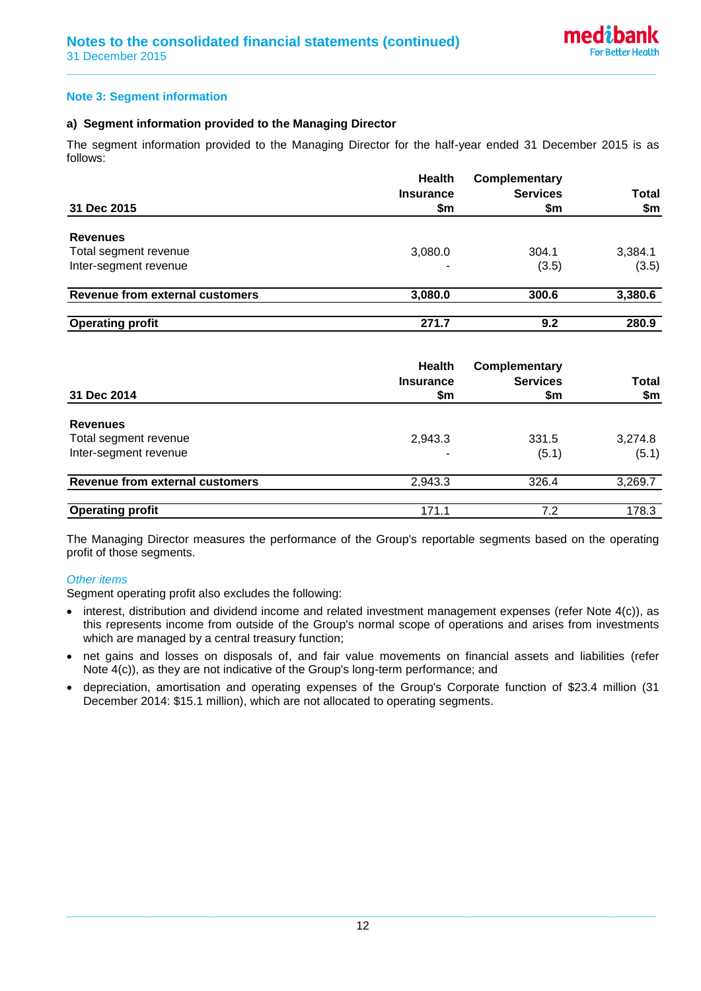# **Note 3: Segment information**

# **a) Segment information provided to the Managing Director**

The segment information provided to the Managing Director for the half-year ended 31 December 2015 is as follows:

**\_\_\_\_\_\_\_\_\_\_\_\_\_\_\_\_\_\_\_\_\_\_\_\_\_\_\_\_\_\_\_\_\_\_\_\_\_\_\_\_\_\_\_\_\_\_\_\_\_\_\_\_\_\_\_\_\_\_\_\_\_\_\_\_\_\_\_\_\_\_\_\_\_\_\_\_\_\_\_\_\_\_\_\_\_\_\_\_\_\_**

|                                 | <b>Health</b><br><b>Insurance</b> | Complementary<br><b>Services</b> | <b>Total</b> |
|---------------------------------|-----------------------------------|----------------------------------|--------------|
| 31 Dec 2015                     | \$m                               | \$m                              | \$m          |
| <b>Revenues</b>                 |                                   |                                  |              |
| Total segment revenue           | 3,080.0                           | 304.1                            | 3,384.1      |
| Inter-segment revenue           |                                   | (3.5)                            | (3.5)        |
| Revenue from external customers | 3,080.0                           | 300.6                            | 3,380.6      |
| <b>Operating profit</b>         | 271.7                             | 9.2                              | 280.9        |

| 31 Dec 2014                            | <b>Health</b><br><b>Insurance</b><br>\$m | <b>Complementary</b><br><b>Services</b><br>\$m | <b>Total</b><br>\$m |
|----------------------------------------|------------------------------------------|------------------------------------------------|---------------------|
| <b>Revenues</b>                        |                                          |                                                |                     |
| Total segment revenue                  | 2,943.3                                  | 331.5                                          | 3,274.8             |
| Inter-segment revenue                  |                                          | (5.1)                                          | (5.1)               |
| <b>Revenue from external customers</b> | 2,943.3                                  | 326.4                                          | 3,269.7             |
| <b>Operating profit</b>                | 171.1                                    | 7.2                                            | 178.3               |

The Managing Director measures the performance of the Group's reportable segments based on the operating profit of those segments.

# *Other items*

Segment operating profit also excludes the following:

- interest, distribution and dividend income and related investment management expenses (refer Note 4(c)), as this represents income from outside of the Group's normal scope of operations and arises from investments which are managed by a central treasury function;
- net gains and losses on disposals of, and fair value movements on financial assets and liabilities (refer Note 4(c)), as they are not indicative of the Group's long-term performance; and
- depreciation, amortisation and operating expenses of the Group's Corporate function of \$23.4 million (31 December 2014: \$15.1 million), which are not allocated to operating segments.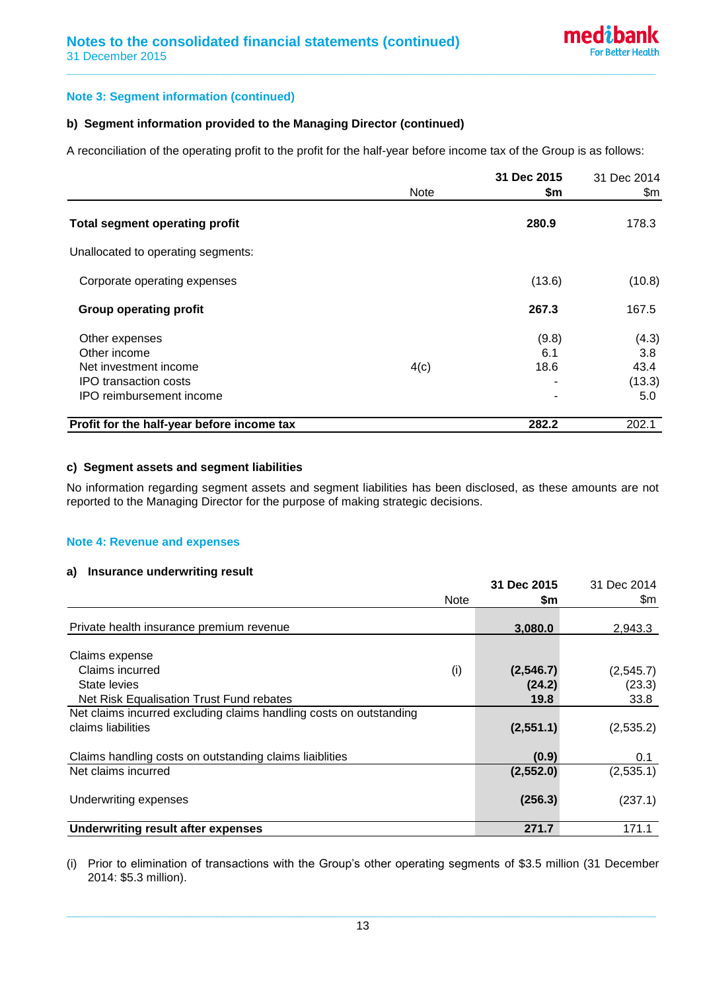# **Note 3: Segment information (continued)**

# **b) Segment information provided to the Managing Director (continued)**

A reconciliation of the operating profit to the profit for the half-year before income tax of the Group is as follows:

**\_\_\_\_\_\_\_\_\_\_\_\_\_\_\_\_\_\_\_\_\_\_\_\_\_\_\_\_\_\_\_\_\_\_\_\_\_\_\_\_\_\_\_\_\_\_\_\_\_\_\_\_\_\_\_\_\_\_\_\_\_\_\_\_\_\_\_\_\_\_\_\_\_\_\_\_\_\_\_\_\_\_\_\_\_\_\_\_\_\_**

|                                            | <b>Note</b> | 31 Dec 2015<br>\$m | 31 Dec 2014<br>\$m |
|--------------------------------------------|-------------|--------------------|--------------------|
| <b>Total segment operating profit</b>      |             | 280.9              | 178.3              |
| Unallocated to operating segments:         |             |                    |                    |
| Corporate operating expenses               |             | (13.6)             | (10.8)             |
| <b>Group operating profit</b>              |             | 267.3              | 167.5              |
| Other expenses                             |             | (9.8)              | (4.3)              |
| Other income                               |             | 6.1                | 3.8                |
| Net investment income                      | 4(c)        | 18.6               | 43.4               |
| IPO transaction costs                      |             |                    | (13.3)             |
| IPO reimbursement income                   |             |                    | 5.0                |
| Profit for the half-year before income tax |             | 282.2              | 202.1              |

### **c) Segment assets and segment liabilities**

No information regarding segment assets and segment liabilities has been disclosed, as these amounts are not reported to the Managing Director for the purpose of making strategic decisions.

### **Note 4: Revenue and expenses**

# **a) Insurance underwriting result**

|                                                                    | <b>Note</b> | 31 Dec 2015<br>\$m | 31 Dec 2014<br>\$m |
|--------------------------------------------------------------------|-------------|--------------------|--------------------|
|                                                                    |             |                    |                    |
| Private health insurance premium revenue                           |             | 3,080.0            | 2,943.3            |
| Claims expense                                                     |             |                    |                    |
| Claims incurred                                                    | (i)         | (2, 546.7)         | (2, 545.7)         |
| State levies                                                       |             | (24.2)             | (23.3)             |
| Net Risk Equalisation Trust Fund rebates                           |             | 19.8               | 33.8               |
| Net claims incurred excluding claims handling costs on outstanding |             |                    |                    |
| claims liabilities                                                 |             | (2,551.1)          | (2,535.2)          |
| Claims handling costs on outstanding claims liaiblities            |             | (0.9)              | 0.1                |
| Net claims incurred                                                |             | (2,552.0)          | (2,535.1)          |
| Underwriting expenses                                              |             | (256.3)            | (237.1)            |
| <b>Underwriting result after expenses</b>                          |             | 271.7              | 171.1              |

(i) Prior to elimination of transactions with the Group's other operating segments of \$3.5 million (31 December 2014: \$5.3 million).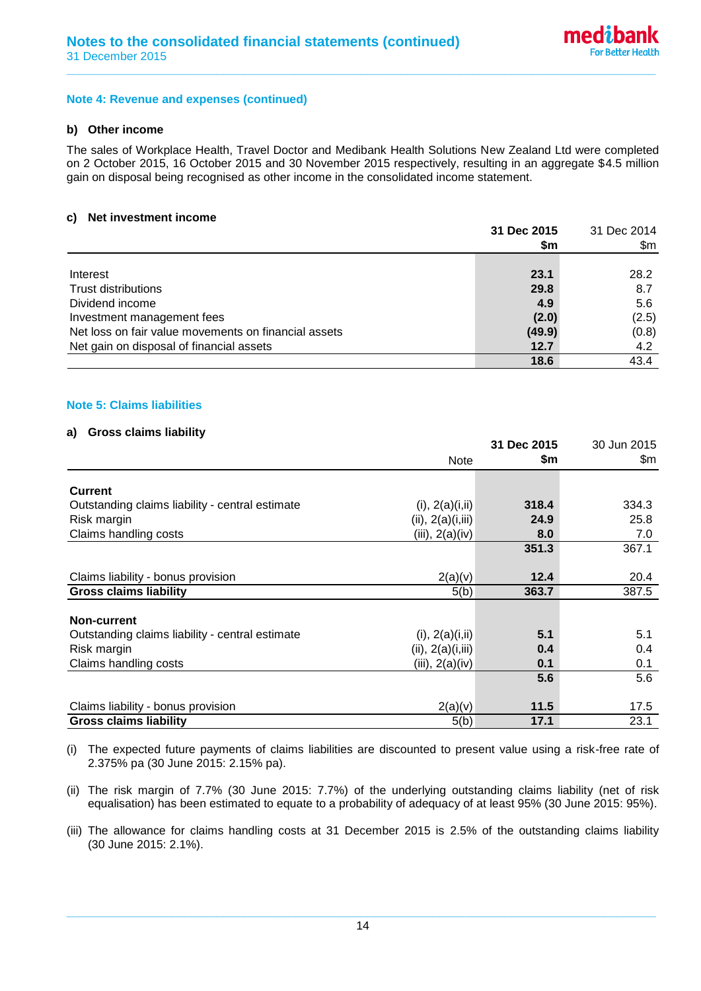### **Note 4: Revenue and expenses (continued)**

### **b) Other income**

The sales of Workplace Health, Travel Doctor and Medibank Health Solutions New Zealand Ltd were completed on 2 October 2015, 16 October 2015 and 30 November 2015 respectively, resulting in an aggregate \$4.5 million gain on disposal being recognised as other income in the consolidated income statement.

**\_\_\_\_\_\_\_\_\_\_\_\_\_\_\_\_\_\_\_\_\_\_\_\_\_\_\_\_\_\_\_\_\_\_\_\_\_\_\_\_\_\_\_\_\_\_\_\_\_\_\_\_\_\_\_\_\_\_\_\_\_\_\_\_\_\_\_\_\_\_\_\_\_\_\_\_\_\_\_\_\_\_\_\_\_\_\_\_\_\_**

### **c) Net investment income**

|                                                      | 31 Dec 2015 | 31 Dec 2014 |  |
|------------------------------------------------------|-------------|-------------|--|
|                                                      | \$m         | \$m         |  |
|                                                      |             |             |  |
| Interest                                             | 23.1        | 28.2        |  |
| <b>Trust distributions</b>                           | 29.8        | 8.7         |  |
| Dividend income                                      | 4.9         | 5.6         |  |
| Investment management fees                           | (2.0)       | (2.5)       |  |
| Net loss on fair value movements on financial assets | (49.9)      | (0.8)       |  |
| Net gain on disposal of financial assets             | 12.7        | 4.2         |  |
|                                                      | 18.6        | 43.4        |  |

# **Note 5: Claims liabilities**

### **a) Gross claims liability**

|                                                 |                    | 31 Dec 2015 | 30 Jun 2015 |
|-------------------------------------------------|--------------------|-------------|-------------|
|                                                 | Note               | \$m         | \$m         |
| <b>Current</b>                                  |                    |             |             |
| Outstanding claims liability - central estimate | (i), 2(a)(i, ii)   | 318.4       | 334.3       |
| Risk margin                                     | (ii), 2(a)(i, iii) | 24.9        | 25.8        |
| Claims handling costs                           | (iii), 2(a)(iv)    | 8.0         | 7.0         |
|                                                 |                    | 351.3       | 367.1       |
| Claims liability - bonus provision              | 2(a)(v)            | 12.4        | 20.4        |
| <b>Gross claims liability</b>                   | 5(b)               | 363.7       | 387.5       |
| <b>Non-current</b>                              |                    |             |             |
| Outstanding claims liability - central estimate | (i), 2(a)(i, ii)   | 5.1         | 5.1         |
| Risk margin                                     | (ii), 2(a)(i,iii)  | 0.4         | 0.4         |
| Claims handling costs                           | (iii), 2(a)(iv)    | 0.1         | 0.1         |
|                                                 |                    | 5.6         | 5.6         |
| Claims liability - bonus provision              | 2(a)(v)            | 11.5        | 17.5        |
| <b>Gross claims liability</b>                   | 5(b)               | 17.1        | 23.1        |

- (i) The expected future payments of claims liabilities are discounted to present value using a risk-free rate of 2.375% pa (30 June 2015: 2.15% pa).
- (ii) The risk margin of 7.7% (30 June 2015: 7.7%) of the underlying outstanding claims liability (net of risk equalisation) has been estimated to equate to a probability of adequacy of at least 95% (30 June 2015: 95%).
- (iii) The allowance for claims handling costs at 31 December 2015 is 2.5% of the outstanding claims liability (30 June 2015: 2.1%).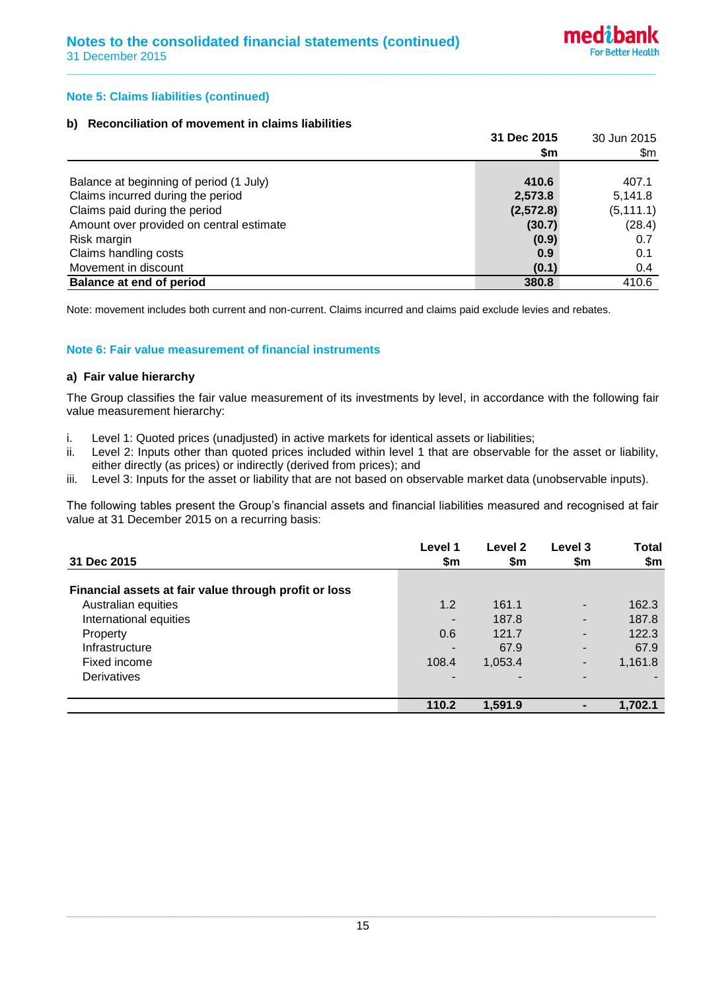# **Note 5: Claims liabilities (continued)**

# **b) Reconciliation of movement in claims liabilities**

|                                          | 31 Dec 2015 | 30 Jun 2015 |
|------------------------------------------|-------------|-------------|
|                                          | \$m         | \$m         |
|                                          |             |             |
| Balance at beginning of period (1 July)  | 410.6       | 407.1       |
| Claims incurred during the period        | 2,573.8     | 5,141.8     |
| Claims paid during the period            | (2,572.8)   | (5, 111.1)  |
| Amount over provided on central estimate | (30.7)      | (28.4)      |
| Risk margin                              | (0.9)       | 0.7         |
| Claims handling costs                    | 0.9         | 0.1         |
| Movement in discount                     | (0.1)       | 0.4         |
| <b>Balance at end of period</b>          | 380.8       | 410.6       |

**\_\_\_\_\_\_\_\_\_\_\_\_\_\_\_\_\_\_\_\_\_\_\_\_\_\_\_\_\_\_\_\_\_\_\_\_\_\_\_\_\_\_\_\_\_\_\_\_\_\_\_\_\_\_\_\_\_\_\_\_\_\_\_\_\_\_\_\_\_\_\_\_\_\_\_\_\_\_\_\_\_\_\_\_\_\_\_\_\_\_**

Note: movement includes both current and non-current. Claims incurred and claims paid exclude levies and rebates.

# **Note 6: Fair value measurement of financial instruments**

### **a) Fair value hierarchy**

The Group classifies the fair value measurement of its investments by level, in accordance with the following fair value measurement hierarchy:

- i. Level 1: Quoted prices (unadjusted) in active markets for identical assets or liabilities;
- ii. Level 2: Inputs other than quoted prices included within level 1 that are observable for the asset or liability, either directly (as prices) or indirectly (derived from prices); and
- iii. Level 3: Inputs for the asset or liability that are not based on observable market data (unobservable inputs).

The following tables present the Group's financial assets and financial liabilities measured and recognised at fair value at 31 December 2015 on a recurring basis:

| 31 Dec 2015                                           | Level 1<br>\$m | Level 2<br>\$m | Level 3<br>\$m | <b>Total</b><br>\$m |
|-------------------------------------------------------|----------------|----------------|----------------|---------------------|
| Financial assets at fair value through profit or loss |                |                |                |                     |
| Australian equities                                   | 1.2            | 161.1          | $\blacksquare$ | 162.3               |
| International equities                                | $\blacksquare$ | 187.8          |                | 187.8               |
| Property                                              | 0.6            | 121.7          |                | 122.3               |
| Infrastructure                                        | $\blacksquare$ | 67.9           |                | 67.9                |
| Fixed income                                          | 108.4          | 1,053.4        | -              | 1,161.8             |
| Derivatives                                           | $\blacksquare$ | -              |                |                     |
|                                                       | 110.2          | 1,591.9        |                | 1,702.1             |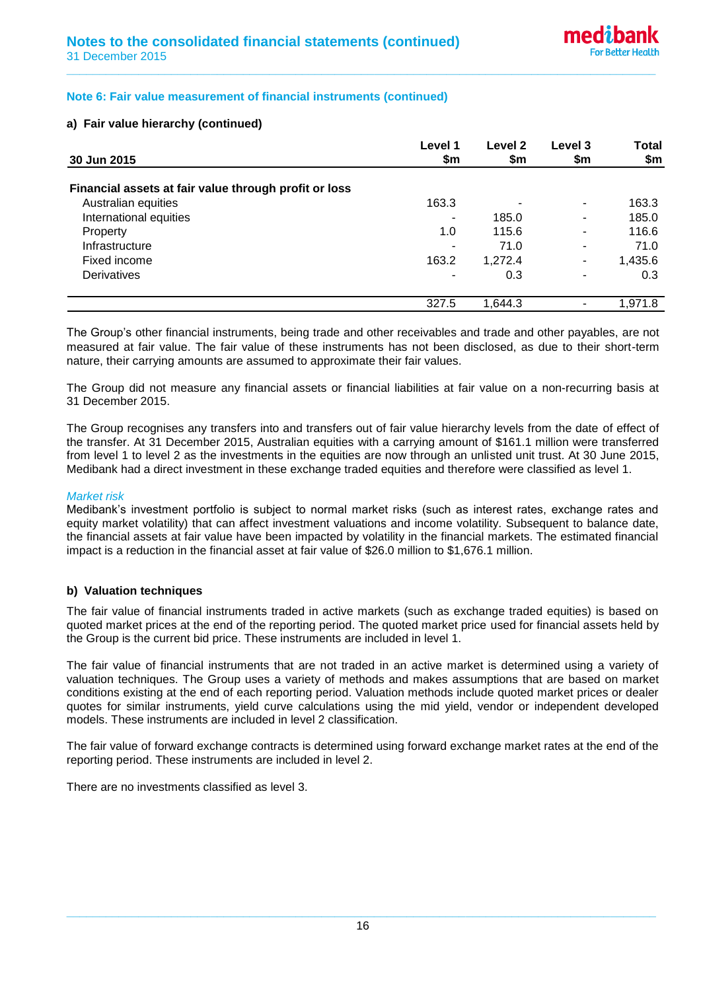# **Note 6: Fair value measurement of financial instruments (continued)**

# **a) Fair value hierarchy (continued)**

|                                                       | Level 1                  | Level 2 | Level 3                  | <b>Total</b> |
|-------------------------------------------------------|--------------------------|---------|--------------------------|--------------|
| 30 Jun 2015                                           | \$m                      | \$m     | \$m                      | \$m          |
| Financial assets at fair value through profit or loss |                          |         |                          |              |
| Australian equities                                   | 163.3                    |         | $\overline{\phantom{a}}$ | 163.3        |
| International equities                                | ۰                        | 185.0   | $\blacksquare$           | 185.0        |
| Property                                              | 1.0                      | 115.6   | -                        | 116.6        |
| Infrastructure                                        | ٠                        | 71.0    | $\overline{\phantom{a}}$ | 71.0         |
| Fixed income                                          | 163.2                    | 1,272.4 | -                        | 1,435.6      |
| <b>Derivatives</b>                                    | $\overline{\phantom{a}}$ | 0.3     | $\blacksquare$           | 0.3          |
|                                                       | 327.5                    | 1.644.3 |                          | 1,971.8      |

**\_\_\_\_\_\_\_\_\_\_\_\_\_\_\_\_\_\_\_\_\_\_\_\_\_\_\_\_\_\_\_\_\_\_\_\_\_\_\_\_\_\_\_\_\_\_\_\_\_\_\_\_\_\_\_\_\_\_\_\_\_\_\_\_\_\_\_\_\_\_\_\_\_\_\_\_\_\_\_\_\_\_\_\_\_\_\_\_\_\_**

The Group's other financial instruments, being trade and other receivables and trade and other payables, are not measured at fair value. The fair value of these instruments has not been disclosed, as due to their short-term nature, their carrying amounts are assumed to approximate their fair values.

The Group did not measure any financial assets or financial liabilities at fair value on a non-recurring basis at 31 December 2015.

The Group recognises any transfers into and transfers out of fair value hierarchy levels from the date of effect of the transfer. At 31 December 2015, Australian equities with a carrying amount of \$161.1 million were transferred from level 1 to level 2 as the investments in the equities are now through an unlisted unit trust. At 30 June 2015, Medibank had a direct investment in these exchange traded equities and therefore were classified as level 1.

#### *Market risk*

Medibank's investment portfolio is subject to normal market risks (such as interest rates, exchange rates and equity market volatility) that can affect investment valuations and income volatility. Subsequent to balance date, the financial assets at fair value have been impacted by volatility in the financial markets. The estimated financial impact is a reduction in the financial asset at fair value of \$26.0 million to \$1,676.1 million.

### **b) Valuation techniques**

The fair value of financial instruments traded in active markets (such as exchange traded equities) is based on quoted market prices at the end of the reporting period. The quoted market price used for financial assets held by the Group is the current bid price. These instruments are included in level 1.

The fair value of financial instruments that are not traded in an active market is determined using a variety of valuation techniques. The Group uses a variety of methods and makes assumptions that are based on market conditions existing at the end of each reporting period. Valuation methods include quoted market prices or dealer quotes for similar instruments, yield curve calculations using the mid yield, vendor or independent developed models. These instruments are included in level 2 classification.

The fair value of forward exchange contracts is determined using forward exchange market rates at the end of the reporting period. These instruments are included in level 2.

There are no investments classified as level 3.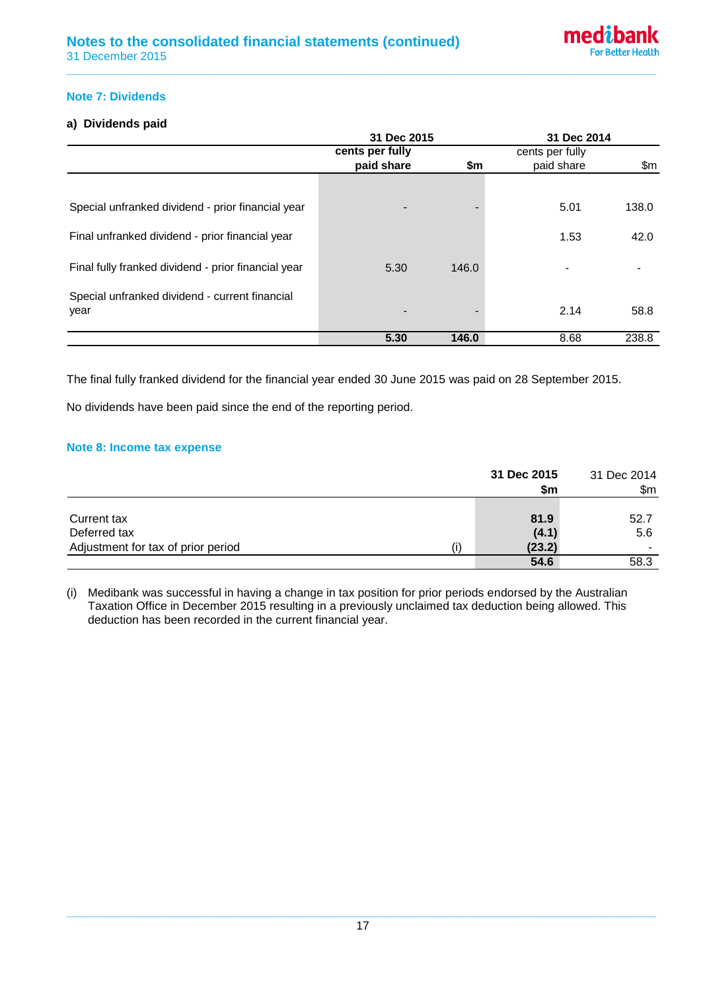# **Note 7: Dividends**

# **a) Dividends paid**

|                                                        | 31 Dec 2015     |       | 31 Dec 2014     |       |
|--------------------------------------------------------|-----------------|-------|-----------------|-------|
|                                                        | cents per fully |       | cents per fully |       |
|                                                        | paid share      | \$m   | paid share      | \$m   |
|                                                        |                 |       |                 |       |
| Special unfranked dividend - prior financial year      |                 |       | 5.01            | 138.0 |
| Final unfranked dividend - prior financial year        |                 |       | 1.53            | 42.0  |
| Final fully franked dividend - prior financial year    | 5.30            | 146.0 |                 |       |
| Special unfranked dividend - current financial<br>year |                 |       | 2.14            | 58.8  |
|                                                        | 5.30            | 146.0 | 8.68            | 238.8 |

**\_\_\_\_\_\_\_\_\_\_\_\_\_\_\_\_\_\_\_\_\_\_\_\_\_\_\_\_\_\_\_\_\_\_\_\_\_\_\_\_\_\_\_\_\_\_\_\_\_\_\_\_\_\_\_\_\_\_\_\_\_\_\_\_\_\_\_\_\_\_\_\_\_\_\_\_\_\_\_\_\_\_\_\_\_\_\_\_\_\_**

The final fully franked dividend for the financial year ended 30 June 2015 was paid on 28 September 2015.

No dividends have been paid since the end of the reporting period.

# **Note 8: Income tax expense**

|                                    | 31 Dec 2015<br>\$m | 31 Dec 2014<br>\$m\$ |
|------------------------------------|--------------------|----------------------|
|                                    |                    |                      |
| Current tax                        | 81.9               | 52.7                 |
| Deferred tax                       | (4.1)              | 5.6                  |
| Adjustment for tax of prior period | (23.2)             |                      |
|                                    | 54.6               | 58.3                 |

(i) Medibank was successful in having a change in tax position for prior periods endorsed by the Australian Taxation Office in December 2015 resulting in a previously unclaimed tax deduction being allowed. This deduction has been recorded in the current financial year.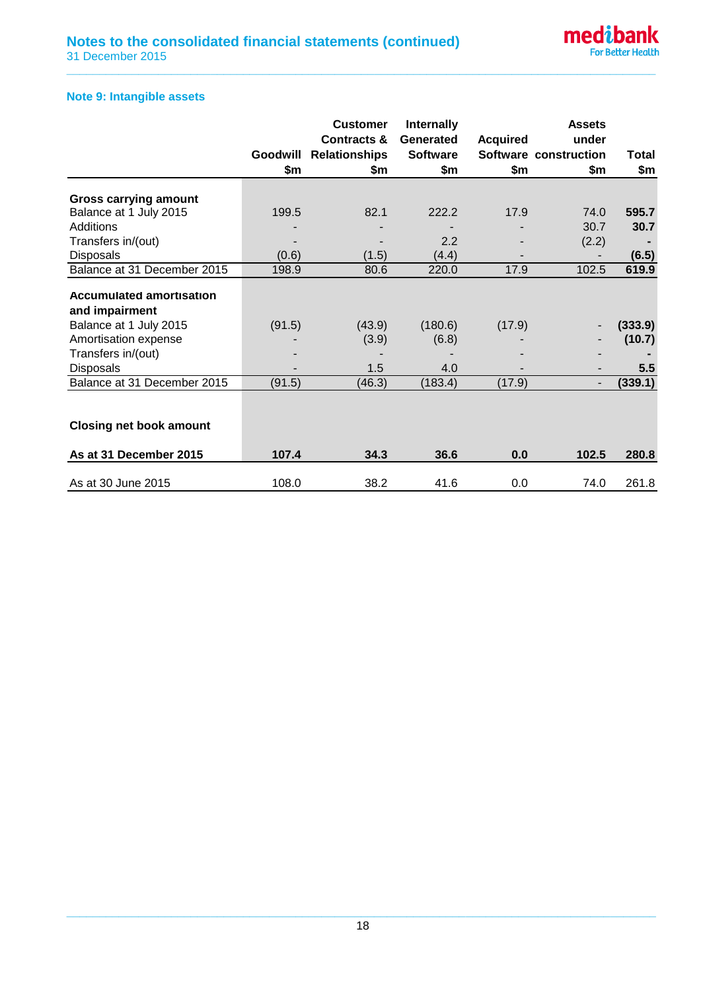

# **Note 9: Intangible assets**

|                                     |          | <b>Customer</b>        | <b>Internally</b> |                 | <b>Assets</b>            |               |
|-------------------------------------|----------|------------------------|-------------------|-----------------|--------------------------|---------------|
|                                     |          | <b>Contracts &amp;</b> | Generated         | <b>Acquired</b> | under                    |               |
|                                     | Goodwill | <b>Relationships</b>   | <b>Software</b>   |                 | Software construction    | Total         |
|                                     | \$m      | \$m                    | \$m               | \$m             | \$m                      | \$m           |
|                                     |          |                        |                   |                 |                          |               |
| <b>Gross carrying amount</b>        |          |                        |                   |                 |                          |               |
| Balance at 1 July 2015<br>Additions | 199.5    | 82.1                   | 222.2             | 17.9            | 74.0                     | 595.7<br>30.7 |
|                                     |          |                        |                   |                 | 30.7                     |               |
| Transfers in/(out)                  |          |                        | 2.2               |                 | (2.2)                    |               |
| <b>Disposals</b>                    | (0.6)    | (1.5)                  | (4.4)             |                 |                          | (6.5)         |
| Balance at 31 December 2015         | 198.9    | 80.6                   | 220.0             | 17.9            | 102.5                    | 619.9         |
| <b>Accumulated amortisation</b>     |          |                        |                   |                 |                          |               |
| and impairment                      |          |                        |                   |                 |                          |               |
| Balance at 1 July 2015              | (91.5)   | (43.9)                 | (180.6)           | (17.9)          |                          | (333.9)       |
| Amortisation expense                |          | (3.9)                  | (6.8)             |                 |                          | (10.7)        |
| Transfers in/(out)                  |          |                        |                   |                 |                          |               |
| <b>Disposals</b>                    |          | 1.5                    | 4.0               |                 | $\overline{\phantom{a}}$ | 5.5           |
| Balance at 31 December 2015         | (91.5)   | (46.3)                 | (183.4)           | (17.9)          | $\overline{\phantom{a}}$ | (339.1)       |
|                                     |          |                        |                   |                 |                          |               |
| <b>Closing net book amount</b>      |          |                        |                   |                 |                          |               |
|                                     |          |                        |                   |                 |                          |               |
| As at 31 December 2015              | 107.4    | 34.3                   | 36.6              | 0.0             | 102.5                    | 280.8         |
| As at 30 June 2015                  | 108.0    | 38.2                   | 41.6              | 0.0             | 74.0                     | 261.8         |

**\_\_\_\_\_\_\_\_\_\_\_\_\_\_\_\_\_\_\_\_\_\_\_\_\_\_\_\_\_\_\_\_\_\_\_\_\_\_\_\_\_\_\_\_\_\_\_\_\_\_\_\_\_\_\_\_\_\_\_\_\_\_\_\_\_\_\_\_\_\_\_\_\_\_\_\_\_\_\_\_\_\_\_\_\_\_\_\_\_\_**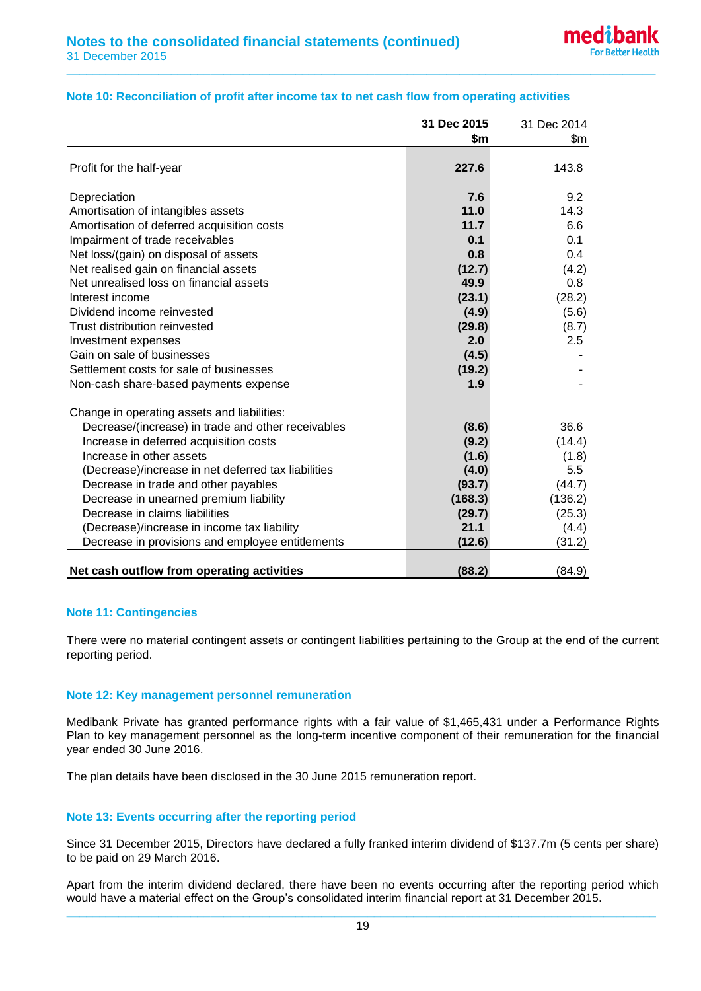|                                                     | 31 Dec 2015 | 31 Dec 2014 |
|-----------------------------------------------------|-------------|-------------|
|                                                     | \$m         | \$m         |
| Profit for the half-year                            | 227.6       | 143.8       |
| Depreciation                                        | 7.6         | 9.2         |
| Amortisation of intangibles assets                  | 11.0        | 14.3        |
| Amortisation of deferred acquisition costs          | 11.7        | 6.6         |
| Impairment of trade receivables                     | 0.1         | 0.1         |
| Net loss/(gain) on disposal of assets               | 0.8         | 0.4         |
| Net realised gain on financial assets               | (12.7)      | (4.2)       |
| Net unrealised loss on financial assets             | 49.9        | 0.8         |
| Interest income                                     | (23.1)      | (28.2)      |
| Dividend income reinvested                          | (4.9)       | (5.6)       |
| Trust distribution reinvested                       | (29.8)      | (8.7)       |
| Investment expenses                                 | 2.0         | 2.5         |
| Gain on sale of businesses                          | (4.5)       |             |
| Settlement costs for sale of businesses             | (19.2)      |             |
| Non-cash share-based payments expense               | 1.9         |             |
| Change in operating assets and liabilities:         |             |             |
| Decrease/(increase) in trade and other receivables  | (8.6)       | 36.6        |
| Increase in deferred acquisition costs              | (9.2)       | (14.4)      |
| Increase in other assets                            | (1.6)       | (1.8)       |
| (Decrease)/increase in net deferred tax liabilities | (4.0)       | 5.5         |
| Decrease in trade and other payables                | (93.7)      | (44.7)      |
| Decrease in unearned premium liability              | (168.3)     | (136.2)     |
| Decrease in claims liabilities                      | (29.7)      | (25.3)      |
| (Decrease)/increase in income tax liability         | 21.1        | (4.4)       |
| Decrease in provisions and employee entitlements    | (12.6)      | (31.2)      |
| Net cash outflow from operating activities          | (88.2)      | (84.9)      |

# **Note 10: Reconciliation of profit after income tax to net cash flow from operating activities**

**\_\_\_\_\_\_\_\_\_\_\_\_\_\_\_\_\_\_\_\_\_\_\_\_\_\_\_\_\_\_\_\_\_\_\_\_\_\_\_\_\_\_\_\_\_\_\_\_\_\_\_\_\_\_\_\_\_\_\_\_\_\_\_\_\_\_\_\_\_\_\_\_\_\_\_\_\_\_\_\_\_\_\_\_\_\_\_\_\_\_**

### **Note 11: Contingencies**

There were no material contingent assets or contingent liabilities pertaining to the Group at the end of the current reporting period.

### **Note 12: Key management personnel remuneration**

Medibank Private has granted performance rights with a fair value of \$1,465,431 under a Performance Rights Plan to key management personnel as the long-term incentive component of their remuneration for the financial year ended 30 June 2016.

The plan details have been disclosed in the 30 June 2015 remuneration report.

# **Note 13: Events occurring after the reporting period**

Since 31 December 2015, Directors have declared a fully franked interim dividend of \$137.7m (5 cents per share) to be paid on 29 March 2016.

Apart from the interim dividend declared, there have been no events occurring after the reporting period which would have a material effect on the Group's consolidated interim financial report at 31 December 2015.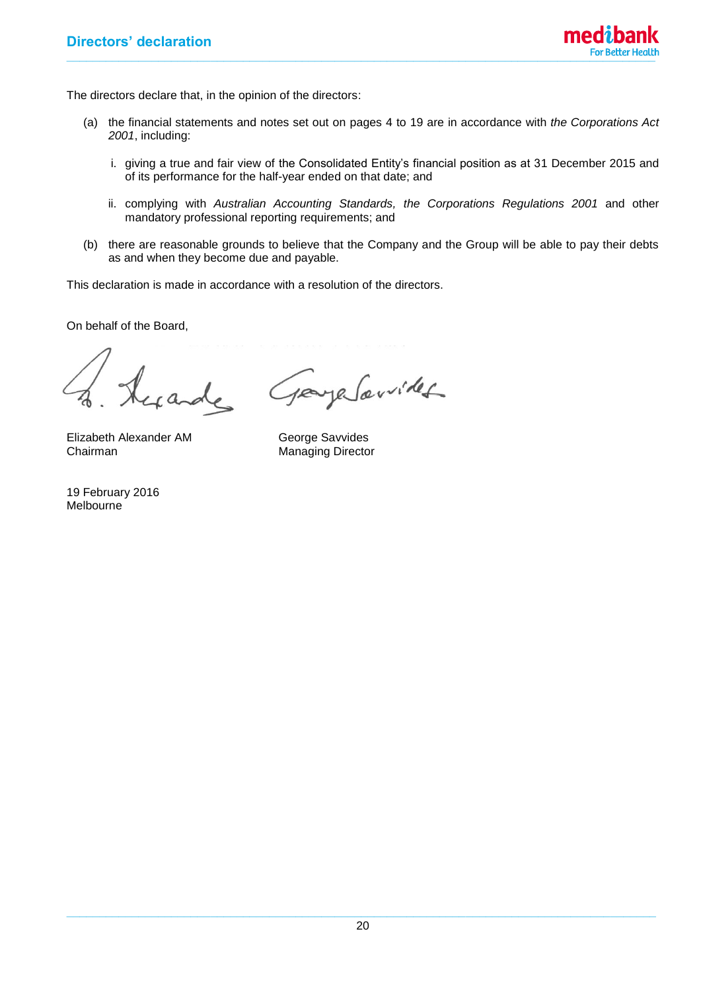

The directors declare that, in the opinion of the directors:

- (a) the financial statements and notes set out on pages 4 to 19 are in accordance with *the Corporations Act 2001*, including:
	- i. giving a true and fair view of the Consolidated Entity's financial position as at 31 December 2015 and of its performance for the half-year ended on that date; and
	- ii. complying with *Australian Accounting Standards, the Corporations Regulations 2001* and other mandatory professional reporting requirements; and
- (b) there are reasonable grounds to believe that the Company and the Group will be able to pay their debts as and when they become due and payable.

This declaration is made in accordance with a resolution of the directors.

On behalf of the Board,

cande

Elizabeth Alexander AM George Savvides<br>
Chairman Manaqing Directo

19 February 2016 Melbourne

paye Souvides

Managing Director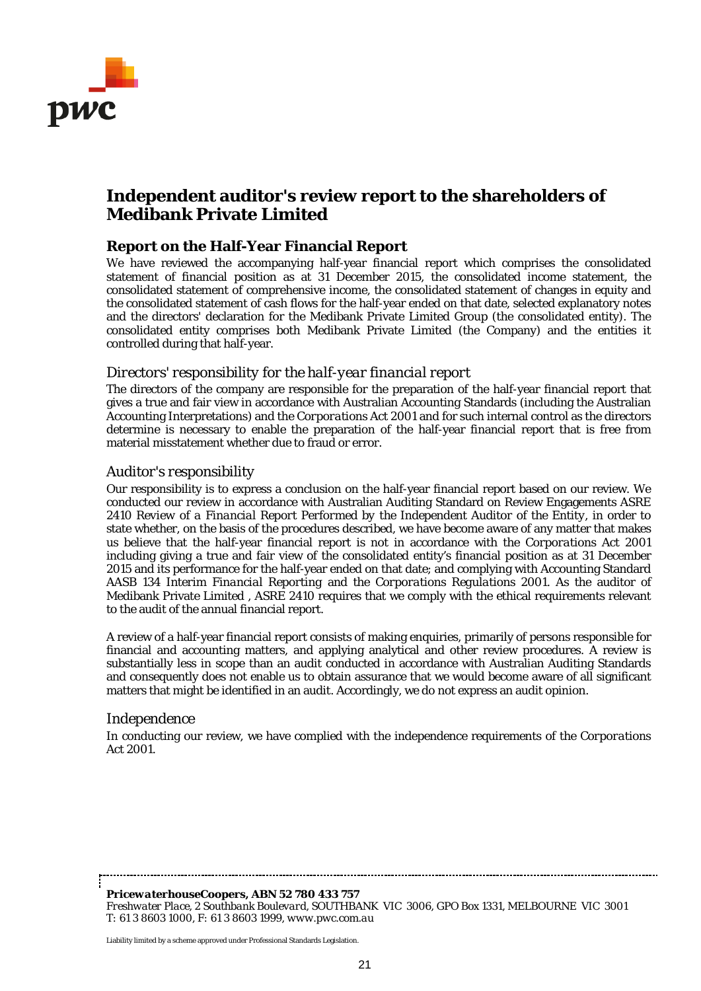

# **Independent auditor's review report to the shareholders of Medibank Private Limited**

# **Report on the Half-Year Financial Report**

We have reviewed the accompanying half-year financial report which comprises the consolidated statement of financial position as at 31 December 2015, the consolidated income statement, the consolidated statement of comprehensive income, the consolidated statement of changes in equity and the consolidated statement of cash flows for the half-year ended on that date, selected explanatory notes and the directors' declaration for the Medibank Private Limited Group (the consolidated entity). The consolidated entity comprises both Medibank Private Limited (the Company) and the entities it controlled during that half-year.

# *Directors' responsibility for the half-year financial report*

The directors of the company are responsible for the preparation of the half-year financial report that gives a true and fair view in accordance with Australian Accounting Standards (including the Australian Accounting Interpretations) and the *Corporations Act 2001* and for such internal control as the directors determine is necessary to enable the preparation of the half-year financial report that is free from material misstatement whether due to fraud or error.

# *Auditor's responsibility*

Our responsibility is to express a conclusion on the half-year financial report based on our review. We conducted our review in accordance with Australian Auditing Standard on Review Engagements ASRE 2410 *Review of a Financial Report Performed by the Independent Auditor of the Entity*, in order to state whether, on the basis of the procedures described, we have become aware of any matter that makes us believe that the half-year financial report is not in accordance with the *Corporations Act 2001* including giving a true and fair view of the consolidated entity's financial position as at 31 December 2015 and its performance for the half-year ended on that date; and complying with Accounting Standard AASB 134 *Interim Financial Reporting* and the *Corporations Regulations 2001*. As the auditor of Medibank Private Limited , ASRE 2410 requires that we comply with the ethical requirements relevant to the audit of the annual financial report.

A review of a half-year financial report consists of making enquiries, primarily of persons responsible for financial and accounting matters, and applying analytical and other review procedures. A review is substantially less in scope than an audit conducted in accordance with Australian Auditing Standards and consequently does not enable us to obtain assurance that we would become aware of all significant matters that might be identified in an audit. Accordingly, we do not express an audit opinion.

# *Independence*

In conducting our review, we have complied with the independence requirements of the *Corporations Act 2001*.

*PricewaterhouseCoopers, ABN 52 780 433 757 Freshwater Place, 2 Southbank Boulevard, SOUTHBANK VIC 3006, GPO Box 1331, MELBOURNE VIC 3001 T: 61 3 8603 1000, F: 61 3 8603 1999, www.pwc.com.au*